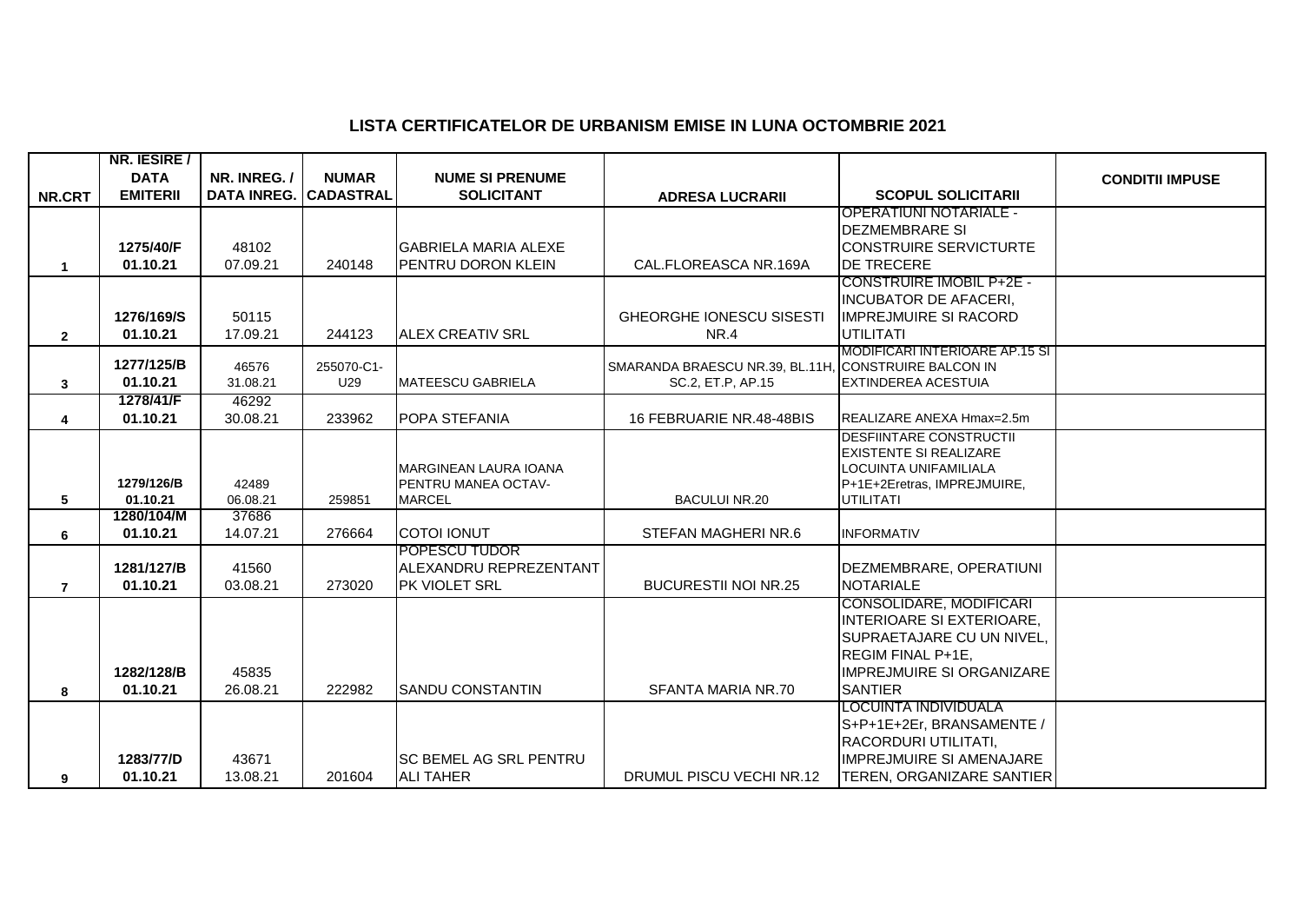## **LISTA CERTIFICATELOR DE URBANISM EMISE IN LUNA OCTOMBRIE 2021**

|                | NR. IESIRE /          |                              |              |                                            |                                                                           |                                                                                             |                        |
|----------------|-----------------------|------------------------------|--------------|--------------------------------------------|---------------------------------------------------------------------------|---------------------------------------------------------------------------------------------|------------------------|
|                | <b>DATA</b>           | NR. INREG./                  | <b>NUMAR</b> | <b>NUME SI PRENUME</b>                     |                                                                           |                                                                                             | <b>CONDITII IMPUSE</b> |
| NR.CRT         | <b>EMITERII</b>       | <b>DATA INREG. CADASTRAL</b> |              | <b>SOLICITANT</b>                          | <b>ADRESA LUCRARII</b>                                                    | <b>SCOPUL SOLICITARII</b>                                                                   |                        |
|                |                       |                              |              |                                            |                                                                           | <b>OPERATIUNI NOTARIALE -</b>                                                               |                        |
|                |                       |                              |              |                                            |                                                                           | <b>DEZMEMBRARE SI</b>                                                                       |                        |
|                | 1275/40/F             | 48102                        |              | <b>GABRIELA MARIA ALEXE</b>                |                                                                           | <b>CONSTRUIRE SERVICTURTE</b>                                                               |                        |
| $\mathbf 1$    | 01.10.21              | 07.09.21                     | 240148       | PENTRU DORON KLEIN                         | CAL.FLOREASCA NR.169A                                                     | <b>DE TRECERE</b>                                                                           |                        |
|                |                       |                              |              |                                            |                                                                           | <b>CONSTRUIRE IMOBIL P+2E -</b>                                                             |                        |
|                |                       |                              |              |                                            |                                                                           | <b>INCUBATOR DE AFACERI,</b>                                                                |                        |
|                | 1276/169/S            | 50115                        |              |                                            | <b>GHEORGHE IONESCU SISESTI</b>                                           | <b>IMPREJMUIRE SI RACORD</b>                                                                |                        |
| $\mathbf{2}$   | 01.10.21              | 17.09.21                     | 244123       | <b>IALEX CREATIV SRL</b>                   | NR.4                                                                      | <b>UTILITATI</b>                                                                            |                        |
|                | 1277/125/B            | 46576                        | 255070-C1-   |                                            |                                                                           | MODIFICARI INTERIOARE AP.15 SI                                                              |                        |
|                | 01.10.21              | 31.08.21                     | U29          | <b>MATEESCU GABRIELA</b>                   | SMARANDA BRAESCU NR.39, BL.11H, CONSTRUIRE BALCON IN<br>SC.2, ET.P, AP.15 | <b>EXTINDEREA ACESTUIA</b>                                                                  |                        |
| 3              | 1278/41/F             | 46292                        |              |                                            |                                                                           |                                                                                             |                        |
| 4              | 01.10.21              | 30.08.21                     | 233962       | POPA STEFANIA                              | 16 FEBRUARIE NR.48-48BIS                                                  | REALIZARE ANEXA Hmax=2.5m                                                                   |                        |
|                |                       |                              |              |                                            |                                                                           | <b>DESFIINTARE CONSTRUCTII</b>                                                              |                        |
|                |                       |                              |              |                                            |                                                                           | <b>EXISTENTE SI REALIZARE</b>                                                               |                        |
|                |                       |                              |              | <b>MARGINEAN LAURA IOANA</b>               |                                                                           | LOCUINTA UNIFAMILIALA                                                                       |                        |
|                | 1279/126/B            | 42489                        |              | PENTRU MANEA OCTAV-                        |                                                                           | P+1E+2Eretras, IMPREJMUIRE,                                                                 |                        |
| 5              | 01.10.21              | 06.08.21                     | 259851       | <b>MARCEL</b>                              | <b>BACULUI NR.20</b>                                                      | <b>UTILITATI</b>                                                                            |                        |
|                | 1280/104/M            | 37686                        |              |                                            |                                                                           |                                                                                             |                        |
| 6              | 01.10.21              | 14.07.21                     | 276664       | <b>COTOI IONUT</b>                         | STEFAN MAGHERINR.6                                                        | <b>INFORMATIV</b>                                                                           |                        |
|                |                       |                              |              | POPESCU TUDOR                              |                                                                           |                                                                                             |                        |
|                | 1281/127/B            | 41560                        |              | ALEXANDRU REPREZENTANT                     |                                                                           | DEZMEMBRARE, OPERATIUNI                                                                     |                        |
| $\overline{7}$ | 01.10.21              | 03.08.21                     | 273020       | PK VIOLET SRL                              | <b>BUCURESTII NOI NR.25</b>                                               | <b>NOTARIALE</b>                                                                            |                        |
|                |                       |                              |              |                                            |                                                                           | CONSOLIDARE, MODIFICARI                                                                     |                        |
|                |                       |                              |              |                                            |                                                                           | <b>INTERIOARE SI EXTERIOARE,</b>                                                            |                        |
|                |                       |                              |              |                                            |                                                                           | SUPRAETAJARE CU UN NIVEL,                                                                   |                        |
|                |                       |                              |              |                                            |                                                                           | REGIM FINAL P+1E,                                                                           |                        |
|                | 1282/128/B            | 45835                        |              |                                            |                                                                           | <b>IMPREJMUIRE SI ORGANIZARE</b>                                                            |                        |
| 8              | 01.10.21              | 26.08.21                     | 222982       | <b>SANDU CONSTANTIN</b>                    | SFANTA MARIA NR.70                                                        | <b>SANTIER</b><br>LOCUINTA INDIVIDUALA                                                      |                        |
|                |                       |                              |              |                                            |                                                                           | S+P+1E+2Er, BRANSAMENTE /                                                                   |                        |
|                |                       |                              |              |                                            |                                                                           |                                                                                             |                        |
|                |                       |                              |              |                                            |                                                                           |                                                                                             |                        |
|                |                       |                              |              |                                            |                                                                           |                                                                                             |                        |
| 9              | 1283/77/D<br>01.10.21 | 43671<br>13.08.21            | 201604       | SC BEMEL AG SRL PENTRU<br><b>ALI TAHER</b> | DRUMUL PISCU VECHI NR.12                                                  | RACORDURI UTILITATI,<br><b>IMPREJMUIRE SI AMENAJARE</b><br><b>TEREN, ORGANIZARE SANTIER</b> |                        |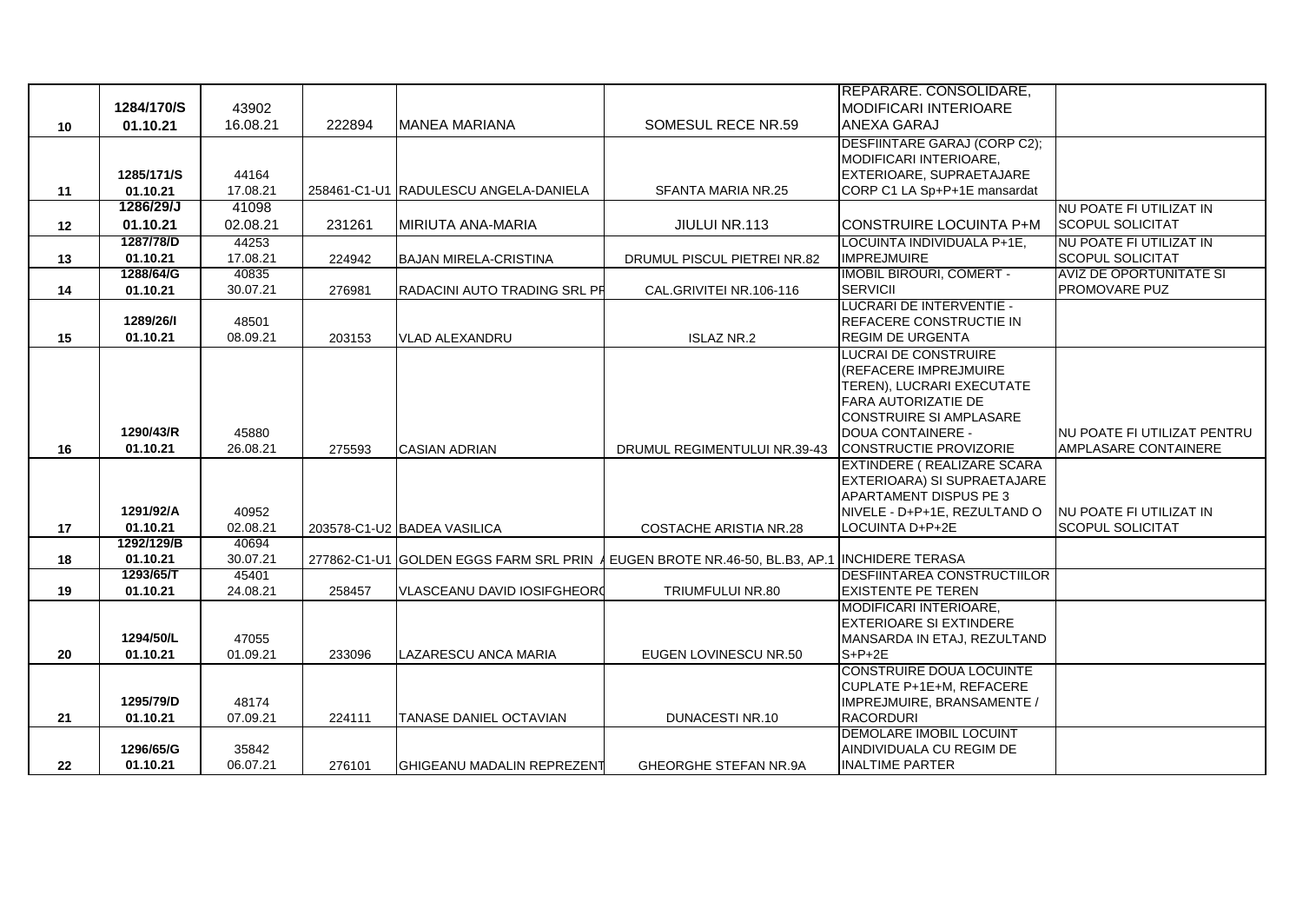|    |                        |                   |        |                                        |                                                    | <b>IREPARARE. CONSOLIDARE,</b>                      |                                |
|----|------------------------|-------------------|--------|----------------------------------------|----------------------------------------------------|-----------------------------------------------------|--------------------------------|
|    | 1284/170/S             | 43902             |        |                                        |                                                    | MODIFICARI INTERIOARE                               |                                |
| 10 | 01.10.21               | 16.08.21          | 222894 | MANEA MARIANA                          | SOMESUL RECE NR.59                                 | <b>ANEXA GARAJ</b>                                  |                                |
|    |                        |                   |        |                                        |                                                    | DESFIINTARE GARAJ (CORP C2);                        |                                |
|    |                        |                   |        |                                        |                                                    | MODIFICARI INTERIOARE,                              |                                |
|    | 1285/171/S             | 44164             |        |                                        |                                                    | EXTERIOARE, SUPRAETAJARE                            |                                |
| 11 | 01.10.21               | 17.08.21          |        | 258461-C1-U1 RADULESCU ANGELA-DANIELA  | SFANTA MARIA NR.25                                 | CORP C1 LA Sp+P+1E mansardat                        |                                |
|    | 1286/29/J              | 41098             |        |                                        |                                                    |                                                     | NU POATE FI UTILIZAT IN        |
| 12 | 01.10.21               | 02.08.21          | 231261 | <b>MIRIUTA ANA-MARIA</b>               | JIULUI NR.113                                      | <b>ICONSTRUIRE LOCUINTA P+M</b>                     | <b>SCOPUL SOLICITAT</b>        |
|    | 1287/78/D              | 44253             |        |                                        |                                                    | LOCUINTA INDIVIDUALA P+1E,                          | NU POATE FI UTILIZAT IN        |
| 13 | 01.10.21               | 17.08.21          | 224942 | <b>BAJAN MIRELA-CRISTINA</b>           | DRUMUL PISCUL PIETREI NR.82                        | <b>IMPREJMUIRE</b>                                  | <b>SCOPUL SOLICITAT</b>        |
|    | 1288/64/G              | 40835             |        |                                        |                                                    | <b>IMOBIL BIROURI, COMERT -</b>                     | <b>AVIZ DE OPORTUNITATE SI</b> |
| 14 | 01.10.21               | 30.07.21          | 276981 | RADACINI AUTO TRADING SRL PR           | CAL.GRIVITEI NR.106-116                            | <b>SERVICII</b>                                     | PROMOVARE PUZ                  |
|    | 1289/26/1              | 48501             |        |                                        |                                                    | LUCRARI DE INTERVENTIE -<br>REFACERE CONSTRUCTIE IN |                                |
| 15 | 01.10.21               | 08.09.21          |        | <b>VLAD ALEXANDRU</b>                  | <b>ISLAZ NR.2</b>                                  | <b>REGIM DE URGENTA</b>                             |                                |
|    |                        |                   | 203153 |                                        |                                                    | LUCRAI DE CONSTRUIRE                                |                                |
|    |                        |                   |        |                                        |                                                    | (REFACERE IMPREJMUIRE                               |                                |
|    |                        |                   |        |                                        |                                                    | TEREN), LUCRARI EXECUTATE                           |                                |
|    |                        |                   |        |                                        |                                                    | <b>FARA AUTORIZATIE DE</b>                          |                                |
|    |                        |                   |        |                                        |                                                    | <b>CONSTRUIRE SI AMPLASARE</b>                      |                                |
|    | 1290/43/R              | 45880             |        |                                        |                                                    | DOUA CONTAINERE -                                   | INU POATE FI UTILIZAT PENTRU   |
| 16 | 01.10.21               | 26.08.21          | 275593 | <b>CASIAN ADRIAN</b>                   | DRUMUL REGIMENTULUI NR.39-43                       | CONSTRUCTIE PROVIZORIE                              | AMPLASARE CONTAINERE           |
|    |                        |                   |        |                                        |                                                    | <b>EXTINDERE ( REALIZARE SCARA</b>                  |                                |
|    |                        |                   |        |                                        |                                                    | EXTERIOARA) SI SUPRAETAJARE                         |                                |
|    |                        |                   |        |                                        |                                                    | <b>APARTAMENT DISPUS PE 3</b>                       |                                |
|    | 1291/92/A              | 40952             |        |                                        |                                                    | NIVELE - D+P+1E, REZULTAND O                        | INU POATE FI UTILIZAT IN       |
| 17 | 01.10.21               | 02.08.21          |        | 203578-C1-U2 BADEA VASILICA            | COSTACHE ARISTIA NR.28                             | LOCUINTA D+P+2E                                     | <b>SCOPUL SOLICITAT</b>        |
| 18 | 1292/129/B<br>01.10.21 | 40694<br>30.07.21 |        | 277862-C1-U1 GOLDEN EGGS FARM SRL PRIN | EUGEN BROTE NR.46-50, BL.B3, AP.1 INCHIDERE TERASA |                                                     |                                |
|    | 1293/65/T              | 45401             |        |                                        |                                                    | <b>DESFIINTAREA CONSTRUCTIILOR</b>                  |                                |
| 19 | 01.10.21               | 24.08.21          | 258457 | <b>VLASCEANU DAVID IOSIFGHEORO</b>     | TRIUMFULUI NR.80                                   | <b>EXISTENTE PE TEREN</b>                           |                                |
|    |                        |                   |        |                                        |                                                    | <b>MODIFICARI INTERIOARE.</b>                       |                                |
|    |                        |                   |        |                                        |                                                    | <b>IEXTERIOARE SI EXTINDERE</b>                     |                                |
|    | 1294/50/L              | 47055             |        |                                        |                                                    | MANSARDA IN ETAJ, REZULTAND                         |                                |
| 20 | 01.10.21               | 01.09.21          | 233096 | LAZARESCU ANCA MARIA                   | EUGEN LOVINESCU NR.50                              | $S+P+2E$                                            |                                |
|    |                        |                   |        |                                        |                                                    | <b>CONSTRUIRE DOUA LOCUINTE</b>                     |                                |
|    |                        |                   |        |                                        |                                                    | CUPLATE P+1E+M, REFACERE                            |                                |
|    | 1295/79/D              | 48174             |        |                                        |                                                    | IMPREJMUIRE, BRANSAMENTE /                          |                                |
| 21 | 01.10.21               | 07.09.21          | 224111 | <b>TANASE DANIEL OCTAVIAN</b>          | <b>DUNACESTI NR.10</b>                             | <b>RACORDURI</b><br><b>DEMOLARE IMOBIL LOCUINT</b>  |                                |
|    | 1296/65/G              | 35842             |        |                                        |                                                    | AINDIVIDUALA CU REGIM DE                            |                                |
| 22 | 01.10.21               | 06.07.21          | 276101 | <b>IGHIGEANU MADALIN REPREZENT</b>     | GHEORGHE STEFAN NR.9A                              | <b>INALTIME PARTER</b>                              |                                |
|    |                        |                   |        |                                        |                                                    |                                                     |                                |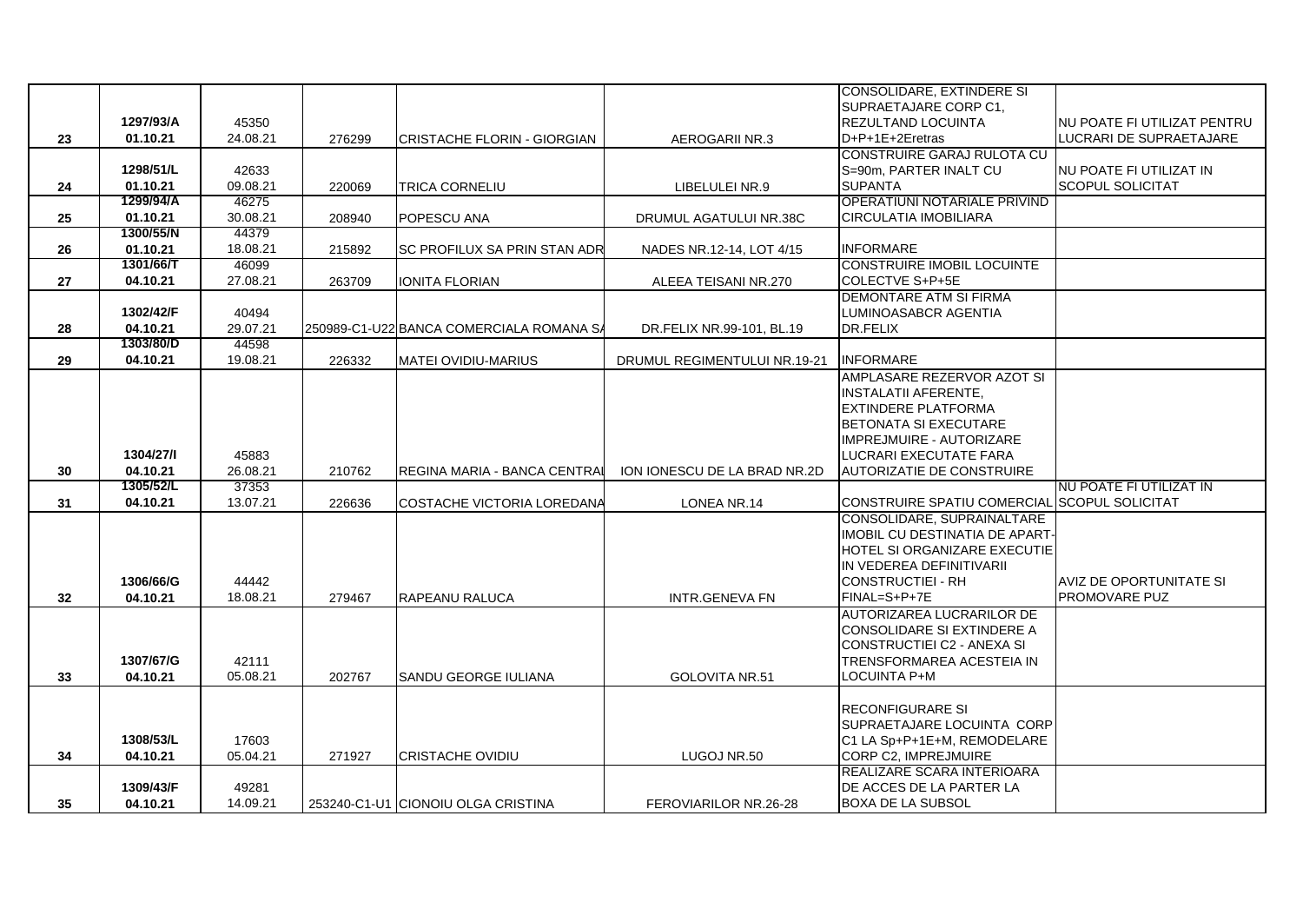|                 |           |          |        |                                          |                              | CONSOLIDARE, EXTINDERE SI                    |                                    |
|-----------------|-----------|----------|--------|------------------------------------------|------------------------------|----------------------------------------------|------------------------------------|
|                 |           |          |        |                                          |                              | SUPRAETAJARE CORP C1,                        |                                    |
|                 | 1297/93/A | 45350    |        |                                          |                              | <b>REZULTAND LOCUINTA</b>                    | <b>NU POATE FI UTILIZAT PENTRU</b> |
| 23              | 01.10.21  | 24.08.21 | 276299 | <b>CRISTACHE FLORIN - GIORGIAN</b>       | AEROGARII NR.3               | D+P+1E+2Eretras                              | LUCRARI DE SUPRAETAJARE            |
|                 |           |          |        |                                          |                              | CONSTRUIRE GARAJ RULOTA CU                   |                                    |
|                 | 1298/51/L | 42633    |        |                                          |                              | S=90m, PARTER INALT CU                       | <b>NU POATE FI UTILIZAT IN</b>     |
| 24              | 01.10.21  | 09.08.21 | 220069 | TRICA CORNELIU                           | LIBELULEI NR.9               | <b>SUPANTA</b>                               | <b>SCOPUL SOLICITAT</b>            |
|                 | 1299/94/A | 46275    |        |                                          |                              | OPERATIUNI NOTARIALE PRIVIND                 |                                    |
| 25              | 01.10.21  | 30.08.21 | 208940 | POPESCU ANA                              | DRUMUL AGATULUI NR.38C       | <b>CIRCULATIA IMOBILIARA</b>                 |                                    |
|                 | 1300/55/N | 44379    |        |                                          |                              |                                              |                                    |
| 26              | 01.10.21  | 18.08.21 | 215892 | SC PROFILUX SA PRIN STAN ADR             | NADES NR.12-14, LOT 4/15     | <b>INFORMARE</b>                             |                                    |
|                 | 1301/66/T | 46099    |        |                                          |                              | <b>CONSTRUIRE IMOBIL LOCUINTE</b>            |                                    |
| 27              | 04.10.21  | 27.08.21 | 263709 | <b>IONITA FLORIAN</b>                    | ALEEA TEISANI NR.270         | COLECTVE S+P+5E                              |                                    |
|                 |           |          |        |                                          |                              | DEMONTARE ATM SI FIRMA                       |                                    |
|                 | 1302/42/F | 40494    |        |                                          |                              | LUMINOASABCR AGENTIA                         |                                    |
| 28              | 04.10.21  | 29.07.21 |        | 250989-C1-U22 BANCA COMERCIALA ROMANA SA | DR.FELIX NR.99-101, BL.19    | DR.FELIX                                     |                                    |
|                 | 1303/80/D | 44598    |        |                                          |                              |                                              |                                    |
| 29              | 04.10.21  | 19.08.21 | 226332 | <b>MATEI OVIDIU-MARIUS</b>               | DRUMUL REGIMENTULUI NR.19-21 | <b>INFORMARE</b>                             |                                    |
|                 |           |          |        |                                          |                              | AMPLASARE REZERVOR AZOT SI                   |                                    |
|                 |           |          |        |                                          |                              | <b>INSTALATII AFERENTE,</b>                  |                                    |
|                 |           |          |        |                                          |                              | EXTINDERE PLATFORMA                          |                                    |
|                 |           |          |        |                                          |                              | BETONATA SI EXECUTARE                        |                                    |
|                 |           |          |        |                                          |                              | <b>IMPREJMUIRE - AUTORIZARE</b>              |                                    |
|                 | 1304/27/1 | 45883    |        |                                          |                              | LUCRARI EXECUTATE FARA                       |                                    |
| 30              | 04.10.21  | 26.08.21 | 210762 | REGINA MARIA - BANCA CENTRAI             | ION IONESCU DE LA BRAD NR.2D | <b>AUTORIZATIE DE CONSTRUIRE</b>             |                                    |
|                 | 1305/52/L | 37353    |        |                                          |                              |                                              | NU POATE FI UTILIZAT IN            |
| 31              | 04.10.21  | 13.07.21 | 226636 | COSTACHE VICTORIA LOREDANA               | LONEA NR.14                  | CONSTRUIRE SPATIU COMERCIAL SCOPUL SOLICITAT |                                    |
|                 |           |          |        |                                          |                              | CONSOLIDARE, SUPRAINALTARE                   |                                    |
|                 |           |          |        |                                          |                              | IMOBIL CU DESTINATIA DE APART-               |                                    |
|                 |           |          |        |                                          |                              | HOTEL SI ORGANIZARE EXECUTIE                 |                                    |
|                 |           |          |        |                                          |                              | IN VEDEREA DEFINITIVARII                     |                                    |
|                 | 1306/66/G | 44442    |        |                                          |                              | CONSTRUCTIEI - RH                            | AVIZ DE OPORTUNITATE SI            |
| 32 <sub>2</sub> | 04.10.21  | 18.08.21 | 279467 | <b>RAPEANU RALUCA</b>                    | <b>INTR.GENEVA FN</b>        | FINAL=S+P+7E                                 | <b>PROMOVARE PUZ</b>               |
|                 |           |          |        |                                          |                              | AUTORIZAREA LUCRARILOR DE                    |                                    |
|                 |           |          |        |                                          |                              | CONSOLIDARE SI EXTINDERE A                   |                                    |
|                 |           |          |        |                                          |                              | CONSTRUCTIEI C2 - ANEXA SI                   |                                    |
|                 | 1307/67/G | 42111    |        |                                          |                              | TRENSFORMAREA ACESTEIA IN                    |                                    |
| 33              | 04.10.21  | 05.08.21 | 202767 | SANDU GEORGE IULIANA                     | GOLOVITA NR.51               | LOCUINTA P+M                                 |                                    |
|                 |           |          |        |                                          |                              |                                              |                                    |
|                 |           |          |        |                                          |                              | <b>RECONFIGURARE SI</b>                      |                                    |
|                 |           |          |        |                                          |                              | SUPRAETAJARE LOCUINTA CORP                   |                                    |
|                 | 1308/53/L | 17603    |        |                                          |                              | IC1 LA Sp+P+1E+M, REMODELARE                 |                                    |
| 34              | 04.10.21  | 05.04.21 | 271927 | <b>CRISTACHE OVIDIU</b>                  | LUGOJ NR.50                  | <b>CORP C2, IMPREJMUIRE</b>                  |                                    |
|                 |           |          |        |                                          |                              | REALIZARE SCARA INTERIOARA                   |                                    |
|                 | 1309/43/F | 49281    |        |                                          |                              | DE ACCES DE LA PARTER LA                     |                                    |
| 35              | 04.10.21  | 14.09.21 |        | 253240-C1-U1 CIONOIU OLGA CRISTINA       | FEROVIARILOR NR.26-28        | <b>BOXA DE LA SUBSOL</b>                     |                                    |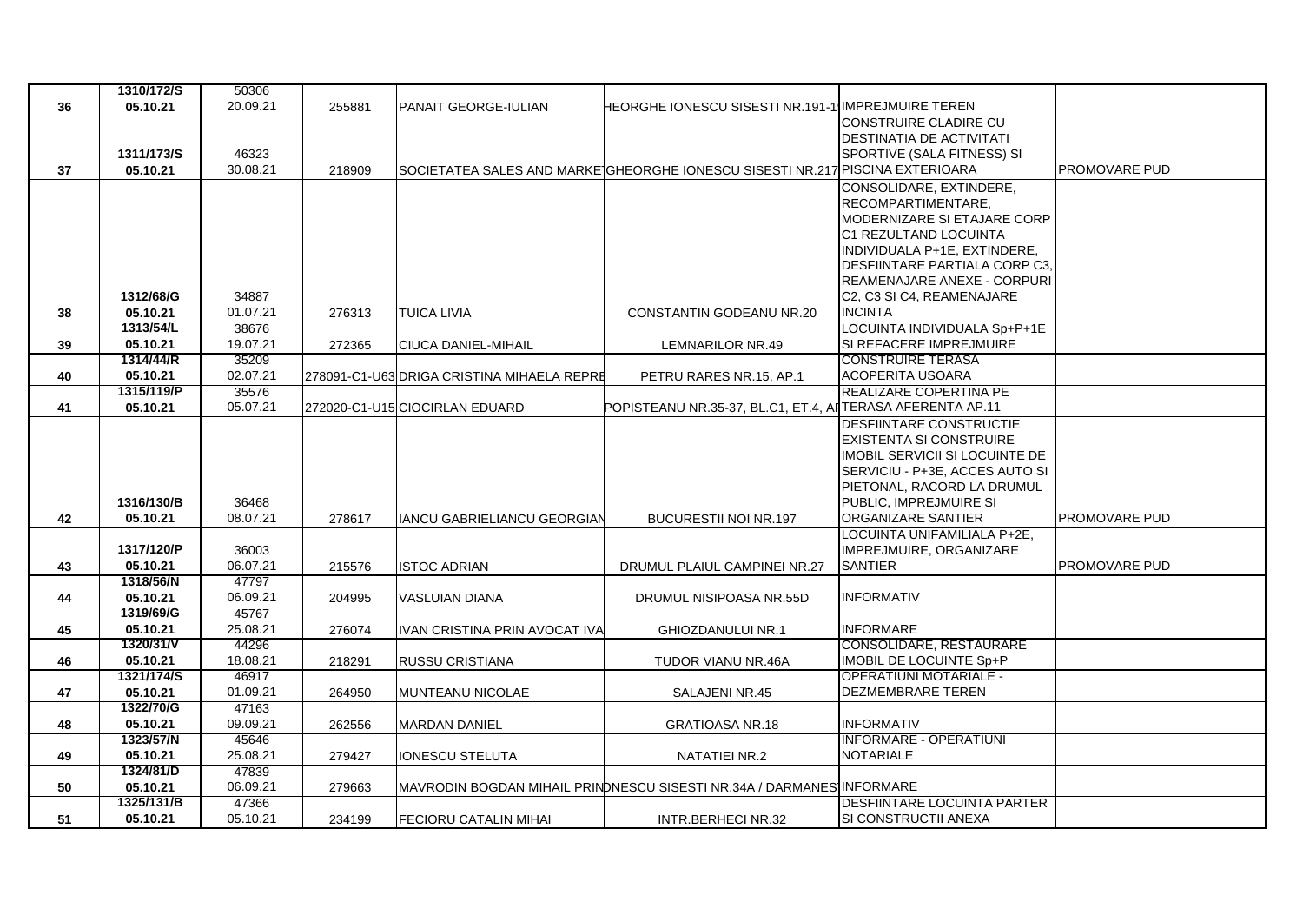|    | 1310/172/S            | 50306             |        |                                            |                                                                               |                                                       |                      |
|----|-----------------------|-------------------|--------|--------------------------------------------|-------------------------------------------------------------------------------|-------------------------------------------------------|----------------------|
| 36 | 05.10.21              | 20.09.21          | 255881 | PANAIT GEORGE-IULIAN                       | HEORGHE IONESCU SISESTI NR.191-1 IMPREJMUIRE TEREN                            |                                                       |                      |
|    |                       |                   |        |                                            |                                                                               | <b>CONSTRUIRE CLADIRE CU</b>                          |                      |
|    |                       |                   |        |                                            |                                                                               | <b>DESTINATIA DE ACTIVITATI</b>                       |                      |
|    | 1311/173/S            | 46323             |        |                                            |                                                                               | SPORTIVE (SALA FITNESS) SI                            |                      |
| 37 | 05.10.21              | 30.08.21          | 218909 |                                            | SOCIETATEA SALES AND MARKEIGHEORGHE IONESCU SISESTI NR.217 PISCINA EXTERIOARA |                                                       | <b>PROMOVARE PUD</b> |
|    |                       |                   |        |                                            |                                                                               | CONSOLIDARE, EXTINDERE,                               |                      |
|    |                       |                   |        |                                            |                                                                               | <b>RECOMPARTIMENTARE.</b>                             |                      |
|    |                       |                   |        |                                            |                                                                               | MODERNIZARE SI ETAJARE CORP                           |                      |
|    |                       |                   |        |                                            |                                                                               | C1 REZULTAND LOCUINTA<br>INDIVIDUALA P+1E, EXTINDERE, |                      |
|    |                       |                   |        |                                            |                                                                               | DESFIINTARE PARTIALA CORP C3,                         |                      |
|    |                       |                   |        |                                            |                                                                               | <b>REAMENAJARE ANEXE - CORPURI</b>                    |                      |
|    | 1312/68/G             | 34887             |        |                                            |                                                                               | C2, C3 SI C4, REAMENAJARE                             |                      |
| 38 | 05.10.21              | 01.07.21          | 276313 | <b>TUICA LIVIA</b>                         | CONSTANTIN GODEANU NR.20                                                      | <b>INCINTA</b>                                        |                      |
|    | 1313/54/L             | 38676             |        |                                            |                                                                               | LOCUINTA INDIVIDUALA Sp+P+1E                          |                      |
| 39 | 05.10.21              | 19.07.21          | 272365 | CIUCA DANIEL-MIHAIL                        | LEMNARILOR NR.49                                                              | SI REFACERE IMPREJMUIRE                               |                      |
|    | 1314/44/R             | 35209             |        |                                            |                                                                               | <b>CONSTRUIRE TERASA</b>                              |                      |
| 40 | 05.10.21              | 02.07.21          |        | 278091-C1-U63 DRIGA CRISTINA MIHAELA REPRE | PETRU RARES NR.15, AP.1                                                       | <b>ACOPERITA USOARA</b>                               |                      |
|    | 1315/119/P            | 35576             |        |                                            |                                                                               | REALIZARE COPERTINA PE                                |                      |
| 41 | 05.10.21              | 05.07.21          |        | 272020-C1-U15 CIOCIRLAN EDUARD             | POPISTEANU NR.35-37, BL.C1, ET.4, AITERASA AFERENTA AP.11                     |                                                       |                      |
|    |                       |                   |        |                                            |                                                                               | <b>DESFIINTARE CONSTRUCTIE</b>                        |                      |
|    |                       |                   |        |                                            |                                                                               | EXISTENTA SI CONSTRUIRE                               |                      |
|    |                       |                   |        |                                            |                                                                               | IMOBIL SERVICII SI LOCUINTE DE                        |                      |
|    |                       |                   |        |                                            |                                                                               | SERVICIU - P+3E, ACCES AUTO SI                        |                      |
|    |                       |                   |        |                                            |                                                                               | PIETONAL, RACORD LA DRUMUL                            |                      |
|    | 1316/130/B            | 36468             |        |                                            |                                                                               | PUBLIC, IMPREJMUIRE SI                                |                      |
| 42 | 05.10.21              | 08.07.21          | 278617 | <b>IANCU GABRIELIANCU GEORGIAN</b>         | <b>BUCURESTII NOI NR.197</b>                                                  | <b>ORGANIZARE SANTIER</b>                             | <b>PROMOVARE PUD</b> |
|    |                       |                   |        |                                            |                                                                               | LOCUINTA UNIFAMILIALA P+2E,                           |                      |
|    | 1317/120/P            | 36003             |        |                                            |                                                                               | IMPREJMUIRE, ORGANIZARE                               |                      |
| 43 | 05.10.21<br>1318/56/N | 06.07.21          | 215576 | <b>ISTOC ADRIAN</b>                        | DRUMUL PLAIUL CAMPINEI NR.27                                                  | <b>SANTIER</b>                                        | <b>PROMOVARE PUD</b> |
| 44 | 05.10.21              | 47797<br>06.09.21 | 204995 | <b>VASLUIAN DIANA</b>                      | DRUMUL NISIPOASA NR.55D                                                       | <b>INFORMATIV</b>                                     |                      |
|    | 1319/69/G             | 45767             |        |                                            |                                                                               |                                                       |                      |
| 45 | 05.10.21              | 25.08.21          | 276074 | IVAN CRISTINA PRIN AVOCAT IVA              | GHIOZDANULUI NR.1                                                             | <b>INFORMARE</b>                                      |                      |
|    | 1320/31/V             | 44296             |        |                                            |                                                                               | CONSOLIDARE, RESTAURARE                               |                      |
| 46 | 05.10.21              | 18.08.21          | 218291 | <b>RUSSU CRISTIANA</b>                     | TUDOR VIANU NR.46A                                                            | <b>IMOBIL DE LOCUINTE Sp+P</b>                        |                      |
|    | 1321/174/S            | 46917             |        |                                            |                                                                               | <b>OPERATIUNI MOTARIALE -</b>                         |                      |
| 47 | 05.10.21              | 01.09.21          | 264950 | <b>MUNTEANU NICOLAE</b>                    | <b>SALAJENI NR.45</b>                                                         | <b>DEZMEMBRARE TEREN</b>                              |                      |
|    | 1322/70/G             | 47163             |        |                                            |                                                                               |                                                       |                      |
| 48 | 05.10.21              | 09.09.21          | 262556 | <b>MARDAN DANIEL</b>                       | <b>GRATIOASA NR.18</b>                                                        | <b>INFORMATIV</b>                                     |                      |
|    | 1323/57/N             | 45646             |        |                                            |                                                                               | <b>INFORMARE - OPERATIUNI</b>                         |                      |
| 49 | 05.10.21              | 25.08.21          | 279427 | <b>IONESCU STELUTA</b>                     | NATATIEI NR.2                                                                 | <b>NOTARIALE</b>                                      |                      |
|    | 1324/81/D             | 47839             |        |                                            |                                                                               |                                                       |                      |
| 50 | 05.10.21              | 06.09.21          | 279663 |                                            | MAVRODIN BOGDAN MIHAIL PRINDNESCU SISESTI NR.34A / DARMANES INFORMARE         |                                                       |                      |
|    | 1325/131/B            | 47366             |        |                                            |                                                                               | <b>DESFIINTARE LOCUINTA PARTER</b>                    |                      |
| 51 | 05.10.21              | 05.10.21          | 234199 | <b>FECIORU CATALIN MIHAI</b>               | INTR.BERHECI NR.32                                                            | <b>SI CONSTRUCTII ANEXA</b>                           |                      |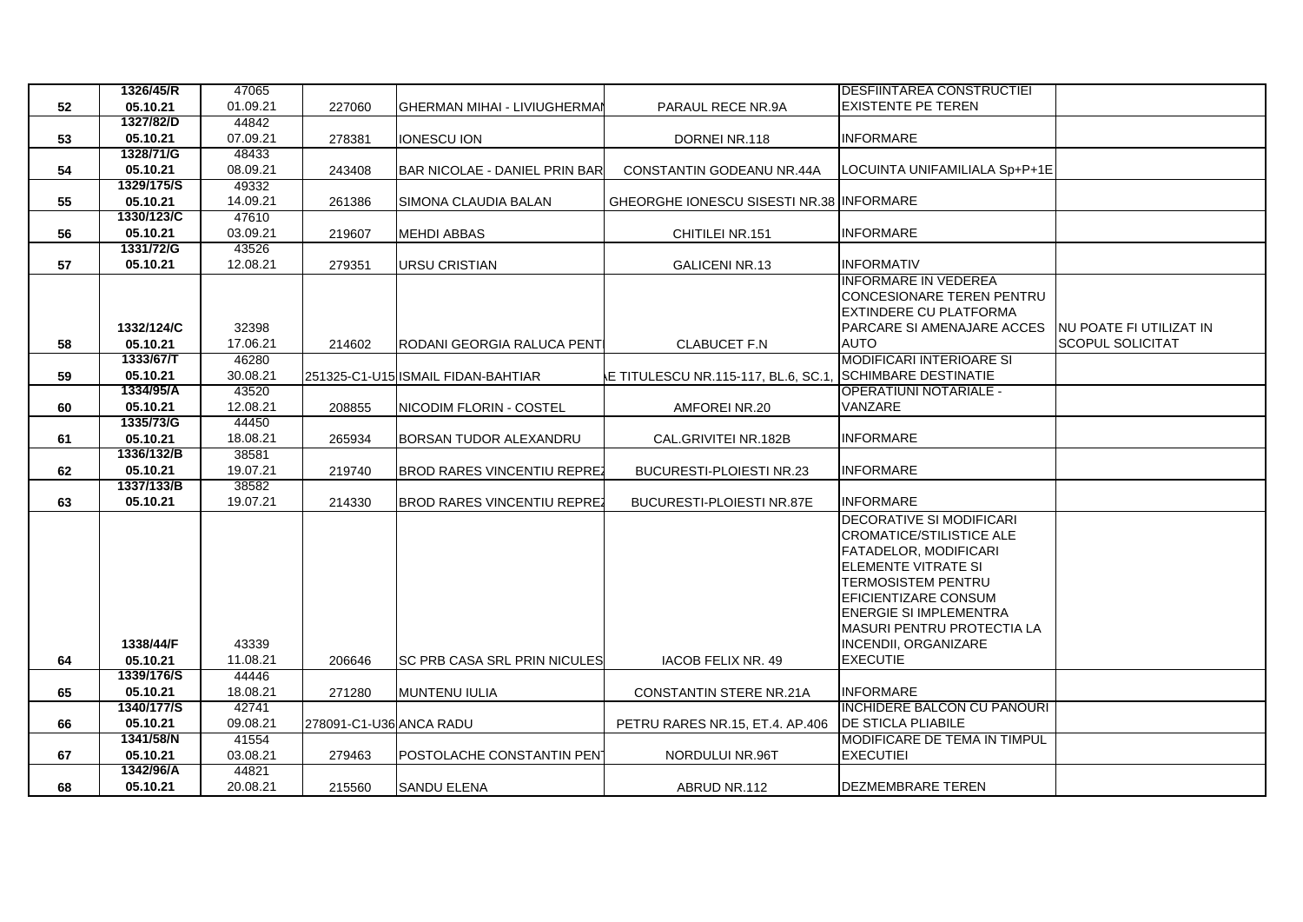|    | 1326/45/R             | 47065             |                         |                                      |                                                          | <b>DESFIINTAREA CONSTRUCTIEI</b>                 |                                                    |
|----|-----------------------|-------------------|-------------------------|--------------------------------------|----------------------------------------------------------|--------------------------------------------------|----------------------------------------------------|
| 52 | 05.10.21              | 01.09.21          | 227060                  | <b>GHERMAN MIHAI - LIVIUGHERMAI</b>  | PARAUL RECE NR.9A                                        | <b>EXISTENTE PE TEREN</b>                        |                                                    |
|    | 1327/82/D             | 44842             |                         |                                      |                                                          |                                                  |                                                    |
| 53 | 05.10.21<br>1328/71/G | 07.09.21          | 278381                  | <b>IONESCU ION</b>                   | DORNEI NR.118                                            | <b>INFORMARE</b>                                 |                                                    |
|    |                       | 48433             |                         |                                      |                                                          |                                                  |                                                    |
| 54 | 05.10.21              | 08.09.21          | 243408                  | <b>BAR NICOLAE - DANIEL PRIN BAR</b> | CONSTANTIN GODEANU NR.44A                                | LOCUINTA UNIFAMILIALA Sp+P+1E                    |                                                    |
|    | 1329/175/S            | 49332             |                         |                                      |                                                          |                                                  |                                                    |
| 55 | 05.10.21              | 14.09.21          | 261386                  | SIMONA CLAUDIA BALAN                 | GHEORGHE IONESCU SISESTI NR.38 INFORMARE                 |                                                  |                                                    |
|    | 1330/123/C            | 47610             |                         |                                      |                                                          |                                                  |                                                    |
| 56 | 05.10.21<br>1331/72/G | 03.09.21          | 219607                  | <b>MEHDI ABBAS</b>                   | CHITILEI NR.151                                          | <b>INFORMARE</b>                                 |                                                    |
|    |                       | 43526             |                         |                                      |                                                          |                                                  |                                                    |
| 57 | 05.10.21              | 12.08.21          | 279351                  | URSU CRISTIAN                        | <b>GALICENI NR.13</b>                                    | <b>INFORMATIV</b><br><b>INFORMARE IN VEDEREA</b> |                                                    |
|    |                       |                   |                         |                                      |                                                          |                                                  |                                                    |
|    |                       |                   |                         |                                      |                                                          | <b>CONCESIONARE TEREN PENTRU</b>                 |                                                    |
|    | 1332/124/C            |                   |                         |                                      |                                                          | EXTINDERE CU PLATFORMA                           |                                                    |
|    | 05.10.21              | 32398             |                         |                                      |                                                          | <b>PARCARE SI AMENAJARE ACCES</b><br><b>AUTO</b> | NU POATE FI UTILIZAT IN<br><b>SCOPUL SOLICITAT</b> |
| 58 | 1333/67/T             | 17.06.21<br>46280 | 214602                  | RODANI GEORGIA RALUCA PENTI          | <b>CLABUCET F.N</b>                                      | <b>MODIFICARI INTERIOARE SI</b>                  |                                                    |
|    | 05.10.21              | 30.08.21          |                         |                                      | E TITULESCU NR.115-117, BL.6, SC.1, SCHIMBARE DESTINATIE |                                                  |                                                    |
| 59 | 1334/95/A             | 43520             |                         | 251325-C1-U15 ISMAIL FIDAN-BAHTIAR   |                                                          | <b>OPERATIUNI NOTARIALE -</b>                    |                                                    |
| 60 | 05.10.21              | 12.08.21          | 208855                  | NICODIM FLORIN - COSTEL              | AMFOREI NR.20                                            | VANZARE                                          |                                                    |
|    | 1335/73/G             | 44450             |                         |                                      |                                                          |                                                  |                                                    |
| 61 | 05.10.21              | 18.08.21          | 265934                  | BORSAN TUDOR ALEXANDRU               | CAL.GRIVITEI NR.182B                                     | <b>INFORMARE</b>                                 |                                                    |
|    | 1336/132/B            | 38581             |                         |                                      |                                                          |                                                  |                                                    |
| 62 | 05.10.21              | 19.07.21          | 219740                  | <b>BROD RARES VINCENTIU REPREZ</b>   | BUCURESTI-PLOIESTI NR.23                                 | <b>INFORMARE</b>                                 |                                                    |
|    | 1337/133/B            | 38582             |                         |                                      |                                                          |                                                  |                                                    |
| 63 | 05.10.21              | 19.07.21          | 214330                  | <b>BROD RARES VINCENTIU REPREZ</b>   | BUCURESTI-PLOIESTI NR.87E                                | <b>INFORMARE</b>                                 |                                                    |
|    |                       |                   |                         |                                      |                                                          | DECORATIVE SI MODIFICARI                         |                                                    |
|    |                       |                   |                         |                                      |                                                          | <b>CROMATICE/STILISTICE ALE</b>                  |                                                    |
|    |                       |                   |                         |                                      |                                                          | <b>FATADELOR, MODIFICARI</b>                     |                                                    |
|    |                       |                   |                         |                                      |                                                          | ELEMENTE VITRATE SI                              |                                                    |
|    |                       |                   |                         |                                      |                                                          | <b>TERMOSISTEM PENTRU</b>                        |                                                    |
|    |                       |                   |                         |                                      |                                                          | EFICIENTIZARE CONSUM                             |                                                    |
|    |                       |                   |                         |                                      |                                                          | <b>ENERGIE SI IMPLEMENTRA</b>                    |                                                    |
|    |                       |                   |                         |                                      |                                                          | <b>MASURI PENTRU PROTECTIA LA</b>                |                                                    |
|    | 1338/44/F             | 43339             |                         |                                      |                                                          | <b>INCENDII, ORGANIZARE</b>                      |                                                    |
| 64 | 05.10.21              | 11.08.21          | 206646                  | SC PRB CASA SRL PRIN NICULES         | IACOB FELIX NR. 49                                       | <b>EXECUTIE</b>                                  |                                                    |
|    | 1339/176/S            | 44446             |                         |                                      |                                                          |                                                  |                                                    |
| 65 | 05.10.21              | 18.08.21          | 271280                  | <b>MUNTENU IULIA</b>                 | <b>CONSTANTIN STERE NR.21A</b>                           | <b>INFORMARE</b>                                 |                                                    |
|    | 1340/177/S            | 42741             |                         |                                      |                                                          | <b>INCHIDERE BALCON CU PANOURI</b>               |                                                    |
| 66 | 05.10.21              | 09.08.21          | 278091-C1-U36 ANCA RADU |                                      | PETRU RARES NR.15, ET.4. AP.406                          | <b>DE STICLA PLIABILE</b>                        |                                                    |
|    | 1341/58/N             | 41554             |                         |                                      |                                                          | MODIFICARE DE TEMA IN TIMPUL                     |                                                    |
| 67 | 05.10.21              | 03.08.21          | 279463                  | POSTOLACHE CONSTANTIN PENT           | NORDULUI NR.96T                                          | <b>EXECUTIEI</b>                                 |                                                    |
|    | 1342/96/A             | 44821             |                         |                                      |                                                          |                                                  |                                                    |
| 68 | 05.10.21              | 20.08.21          | 215560                  | SANDU ELENA                          | ABRUD NR.112                                             | DEZMEMBRARE TEREN                                |                                                    |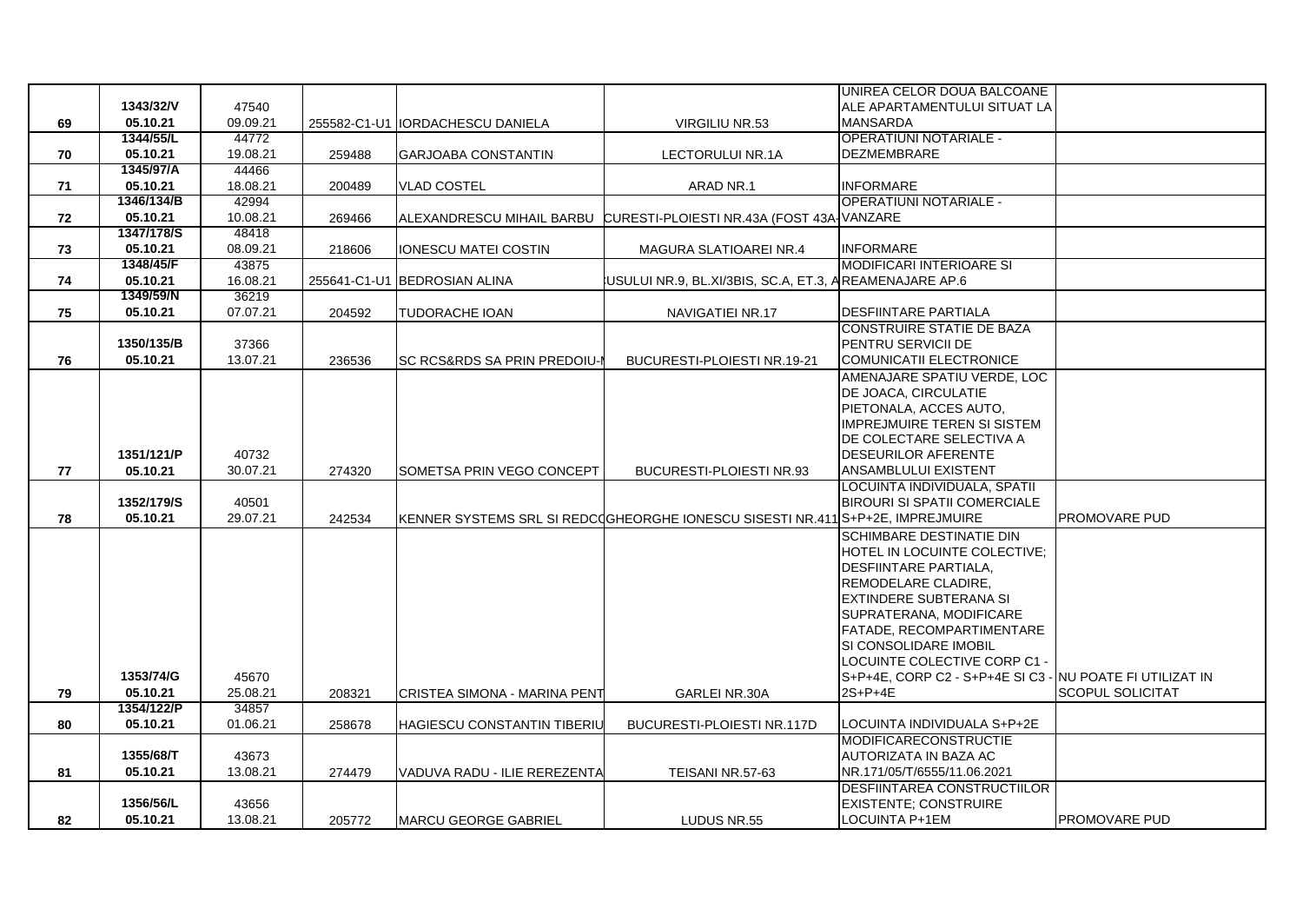|    |            |          |        |                                  |                                                                                | IUNIREA CELOR DOUA BALCOANE                               |                         |
|----|------------|----------|--------|----------------------------------|--------------------------------------------------------------------------------|-----------------------------------------------------------|-------------------------|
|    | 1343/32/V  | 47540    |        |                                  |                                                                                | ALE APARTAMENTULUI SITUAT LA                              |                         |
| 69 | 05.10.21   | 09.09.21 |        | 255582-C1-U1 IORDACHESCU DANIELA | VIRGILIU NR.53                                                                 | <b>MANSARDA</b>                                           |                         |
|    | 1344/55/L  | 44772    |        |                                  |                                                                                | <b>OPERATIUNI NOTARIALE -</b>                             |                         |
| 70 | 05.10.21   | 19.08.21 | 259488 | <b>GARJOABA CONSTANTIN</b>       | LECTORULUI NR.1A                                                               | <b>DEZMEMBRARE</b>                                        |                         |
|    | 1345/97/A  | 44466    |        |                                  |                                                                                |                                                           |                         |
| 71 | 05.10.21   | 18.08.21 | 200489 | <b>VLAD COSTEL</b>               | ARAD NR.1                                                                      | <b>INFORMARE</b>                                          |                         |
|    | 1346/134/B | 42994    |        |                                  |                                                                                | <b>OPERATIUNI NOTARIALE -</b>                             |                         |
| 72 | 05.10.21   | 10.08.21 | 269466 |                                  | ALEXANDRESCU MIHAIL BARBU CURESTI-PLOIESTI NR.43A (FOST 43A VANZARE            |                                                           |                         |
|    | 1347/178/S | 48418    |        |                                  |                                                                                |                                                           |                         |
| 73 | 05.10.21   | 08.09.21 | 218606 | <b>IONESCU MATEI COSTIN</b>      | MAGURA SLATIOAREI NR.4                                                         | <b>INFORMARE</b>                                          |                         |
|    | 1348/45/F  | 43875    |        |                                  |                                                                                | MODIFICARI INTERIOARE SI                                  |                         |
| 74 | 05.10.21   | 16.08.21 |        | 255641-C1-U1 BEDROSIAN ALINA     | USULUI NR.9, BL.XI/3BIS, SC.A, ET.3, AREAMENAJARE AP.6                         |                                                           |                         |
|    | 1349/59/N  | 36219    |        |                                  |                                                                                |                                                           |                         |
| 75 | 05.10.21   | 07.07.21 | 204592 | TUDORACHE IOAN                   | NAVIGATIEI NR.17                                                               | <b>DESFIINTARE PARTIALA</b>                               |                         |
|    |            |          |        |                                  |                                                                                | <b>CONSTRUIRE STATIE DE BAZA</b>                          |                         |
|    | 1350/135/B | 37366    |        |                                  |                                                                                | <b>PENTRU SERVICII DE</b>                                 |                         |
| 76 | 05.10.21   | 13.07.21 | 236536 | SC RCS&RDS SA PRIN PREDOIU-I     | BUCURESTI-PLOIESTI NR.19-21                                                    | COMUNICATII ELECTRONICE                                   |                         |
|    |            |          |        |                                  |                                                                                | AMENAJARE SPATIU VERDE, LOC                               |                         |
|    |            |          |        |                                  |                                                                                | DE JOACA, CIRCULATIE                                      |                         |
|    |            |          |        |                                  |                                                                                | PIETONALA, ACCES AUTO,                                    |                         |
|    |            |          |        |                                  |                                                                                | <b>IMPREJMUIRE TEREN SI SISTEM</b>                        |                         |
|    |            |          |        |                                  |                                                                                | IDE COLECTARE SELECTIVA A                                 |                         |
|    | 1351/121/P | 40732    |        |                                  |                                                                                | <b>DESEURILOR AFERENTE</b>                                |                         |
| 77 | 05.10.21   | 30.07.21 | 274320 | SOMETSA PRIN VEGO CONCEPT        | BUCURESTI-PLOIESTI NR.93                                                       | ANSAMBLULUI EXISTENT                                      |                         |
|    |            |          |        |                                  |                                                                                | LOCUINTA INDIVIDUALA, SPATII                              |                         |
|    | 1352/179/S | 40501    |        |                                  |                                                                                | <b>BIROURI SI SPATII COMERCIALE</b>                       |                         |
| 78 | 05.10.21   | 29.07.21 | 242534 |                                  | KENNER SYSTEMS SRL SI REDCOGHEORGHE IONESCU SISESTI NR.411 S+P+2E, IMPREJMUIRE |                                                           | <b>PROMOVARE PUD</b>    |
|    |            |          |        |                                  |                                                                                | <b>SCHIMBARE DESTINATIE DIN</b>                           |                         |
|    |            |          |        |                                  |                                                                                | HOTEL IN LOCUINTE COLECTIVE;                              |                         |
|    |            |          |        |                                  |                                                                                | <b>IDESFIINTARE PARTIALA.</b>                             |                         |
|    |            |          |        |                                  |                                                                                | <b>REMODELARE CLADIRE,</b>                                |                         |
|    |            |          |        |                                  |                                                                                | EXTINDERE SUBTERANA SI                                    |                         |
|    |            |          |        |                                  |                                                                                | SUPRATERANA, MODIFICARE                                   |                         |
|    |            |          |        |                                  |                                                                                | FATADE, RECOMPARTIMENTARE                                 |                         |
|    |            |          |        |                                  |                                                                                | <b>SI CONSOLIDARE IMOBIL</b>                              |                         |
|    |            |          |        |                                  |                                                                                | LOCUINTE COLECTIVE CORP C1 -                              |                         |
|    | 1353/74/G  | 45670    |        |                                  |                                                                                | S+P+4E, CORP C2 - S+P+4E SI C3 - INU POATE FI UTILIZAT IN |                         |
| 79 | 05.10.21   | 25.08.21 | 208321 | CRISTEA SIMONA - MARINA PENT     | <b>GARLEI NR.30A</b>                                                           | 2S+P+4E                                                   | <b>SCOPUL SOLICITAT</b> |
|    | 1354/122/P | 34857    |        |                                  |                                                                                |                                                           |                         |
| 80 | 05.10.21   | 01.06.21 | 258678 | HAGIESCU CONSTANTIN TIBERIU      | BUCURESTI-PLOIESTI NR.117D                                                     | ILOCUINTA INDIVIDUALA S+P+2E                              |                         |
|    |            |          |        |                                  |                                                                                | <b>MODIFICARECONSTRUCTIE</b>                              |                         |
|    | 1355/68/T  | 43673    |        |                                  |                                                                                | AUTORIZATA IN BAZA AC                                     |                         |
| 81 | 05.10.21   | 13.08.21 | 274479 | VADUVA RADU - ILIE REREZENTA     | TEISANI NR.57-63                                                               | NR.171/05/T/6555/11.06.2021                               |                         |
|    |            |          |        |                                  |                                                                                | <b>DESFIINTAREA CONSTRUCTIILOR</b>                        |                         |
|    | 1356/56/L  | 43656    |        |                                  |                                                                                | <b>EXISTENTE: CONSTRUIRE</b>                              |                         |
| 82 | 05.10.21   | 13.08.21 | 205772 | <b>IMARCU GEORGE GABRIEL</b>     | LUDUS NR.55                                                                    | LOCUINTA P+1EM                                            | <b>IPROMOVARE PUD</b>   |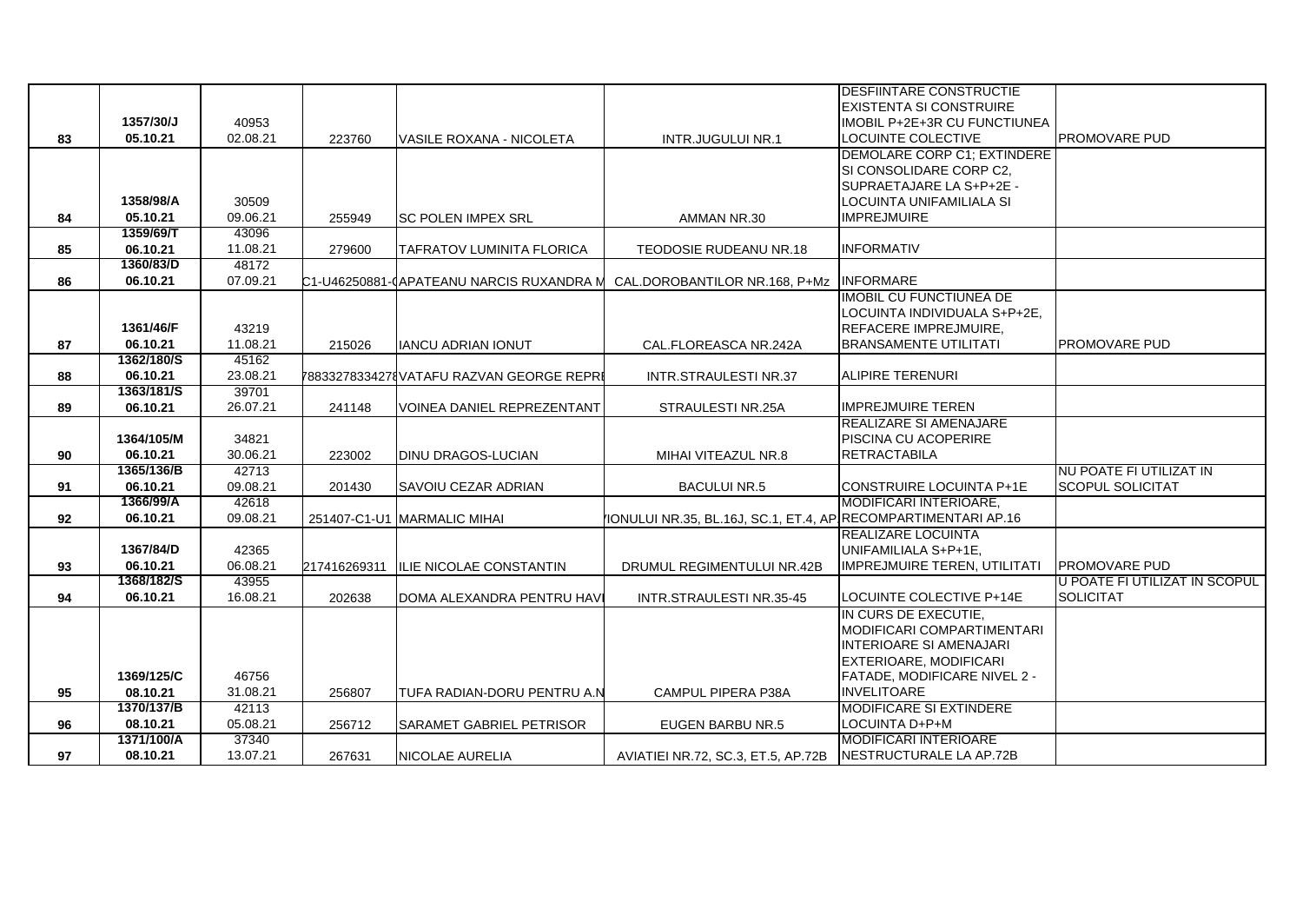|    |            |          |              |                                          |                                                               | <b>DESFIINTARE CONSTRUCTIE</b>      |                               |
|----|------------|----------|--------------|------------------------------------------|---------------------------------------------------------------|-------------------------------------|-------------------------------|
|    |            |          |              |                                          |                                                               | <b>IEXISTENTA SI CONSTRUIRE</b>     |                               |
|    | 1357/30/J  | 40953    |              |                                          |                                                               | IMOBIL P+2E+3R CU FUNCTIUNEA        |                               |
| 83 | 05.10.21   | 02.08.21 | 223760       | VASILE ROXANA - NICOLETA                 | <b>INTR.JUGULUI NR.1</b>                                      | LOCUINTE COLECTIVE                  | PROMOVARE PUD                 |
|    |            |          |              |                                          |                                                               | DEMOLARE CORP C1; EXTINDERE         |                               |
|    |            |          |              |                                          |                                                               | SI CONSOLIDARE CORP C2,             |                               |
|    |            |          |              |                                          |                                                               | SUPRAETAJARE LA S+P+2E -            |                               |
|    | 1358/98/A  | 30509    |              |                                          |                                                               | LOCUINTA UNIFAMILIALA SI            |                               |
| 84 | 05.10.21   | 09.06.21 | 255949       | <b>ISC POLEN IMPEX SRL</b>               | AMMAN NR.30                                                   | <b>IMPREJMUIRE</b>                  |                               |
|    | 1359/69/T  | 43096    |              |                                          |                                                               |                                     |                               |
| 85 | 06.10.21   | 11.08.21 | 279600       | TAFRATOV LUMINITA FLORICA                | TEODOSIE RUDEANU NR.18                                        | <b>INFORMATIV</b>                   |                               |
|    | 1360/83/D  | 48172    |              |                                          |                                                               |                                     |                               |
| 86 | 06.10.21   | 07.09.21 |              | C1-U46250881-CAPATEANU NARCIS RUXANDRA M | CAL.DOROBANTILOR NR.168, P+Mz                                 | <b>INFORMARE</b>                    |                               |
|    |            |          |              |                                          |                                                               | <b>IMOBIL CU FUNCTIUNEA DE</b>      |                               |
|    |            |          |              |                                          |                                                               | LOCUINTA INDIVIDUALA S+P+2E,        |                               |
|    | 1361/46/F  | 43219    |              |                                          |                                                               | REFACERE IMPREJMUIRE,               |                               |
| 87 | 06.10.21   | 11.08.21 | 215026       | <b>IANCU ADRIAN IONUT</b>                | CAL.FLOREASCA NR.242A                                         | <b>BRANSAMENTE UTILITATI</b>        | PROMOVARE PUD                 |
|    | 1362/180/S | 45162    |              |                                          |                                                               |                                     |                               |
| 88 | 06.10.21   | 23.08.21 |              | 78833278334278VATAFU RAZVAN GEORGE REPRI | INTR.STRAULESTI NR.37                                         | <b>ALIPIRE TERENURI</b>             |                               |
|    | 1363/181/S | 39701    |              |                                          |                                                               |                                     |                               |
| 89 | 06.10.21   | 26.07.21 | 241148       | <b>VOINEA DANIEL REPREZENTANT</b>        | STRAULESTI NR.25A                                             | <b>IMPREJMUIRE TEREN</b>            |                               |
|    |            |          |              |                                          |                                                               | <b>REALIZARE SI AMENAJARE</b>       |                               |
|    | 1364/105/M | 34821    |              |                                          |                                                               | <b>PISCINA CU ACOPERIRE</b>         |                               |
| 90 | 06.10.21   | 30.06.21 | 223002       | <b>DINU DRAGOS-LUCIAN</b>                | MIHAI VITEAZUL NR.8                                           | <b>RETRACTABILA</b>                 |                               |
|    | 1365/136/B | 42713    |              |                                          |                                                               |                                     | INU POATE FI UTILIZAT IN      |
| 91 | 06.10.21   | 09.08.21 | 201430       | <b>SAVOIU CEZAR ADRIAN</b>               | <b>BACULUI NR.5</b>                                           | <b>ICONSTRUIRE LOCUINTA P+1E</b>    | <b>SCOPUL SOLICITAT</b>       |
|    | 1366/99/A  | 42618    |              |                                          |                                                               | MODIFICARI INTERIOARE,              |                               |
| 92 | 06.10.21   | 09.08.21 |              | 251407-C1-U1 MARMALIC MIHAI              | IONULUI NR.35, BL.16J, SC.1, ET.4, AP RECOMPARTIMENTARI AP.16 |                                     |                               |
|    |            |          |              |                                          |                                                               | REALIZARE LOCUINTA                  |                               |
|    | 1367/84/D  | 42365    |              |                                          |                                                               | UNIFAMILIALA S+P+1E,                |                               |
| 93 | 06.10.21   | 06.08.21 | 217416269311 | <b>ILIE NICOLAE CONSTANTIN</b>           | DRUMUL REGIMENTULUI NR.42B                                    | IMPREJMUIRE TEREN, UTILITATI        | <b>PROMOVARE PUD</b>          |
|    | 1368/182/S | 43955    |              |                                          |                                                               |                                     | U POATE FI UTILIZAT IN SCOPUL |
| 94 | 06.10.21   | 16.08.21 | 202638       | DOMA ALEXANDRA PENTRU HAVI               | INTR.STRAULESTI NR.35-45                                      | LOCUINTE COLECTIVE P+14E            | <b>SOLICITAT</b>              |
|    |            |          |              |                                          |                                                               | IN CURS DE EXECUTIE,                |                               |
|    |            |          |              |                                          |                                                               | MODIFICARI COMPARTIMENTARI          |                               |
|    |            |          |              |                                          |                                                               | <b>INTERIOARE SI AMENAJARI</b>      |                               |
|    |            |          |              |                                          |                                                               | <b>EXTERIOARE, MODIFICARI</b>       |                               |
|    | 1369/125/C | 46756    |              |                                          |                                                               | <b>FATADE, MODIFICARE NIVEL 2 -</b> |                               |
| 95 | 08.10.21   | 31.08.21 | 256807       | TUFA RADIAN-DORU PENTRU A.N              | <b>CAMPUL PIPERA P38A</b>                                     | <b>INVELITOARE</b>                  |                               |
|    | 1370/137/B | 42113    |              |                                          |                                                               | <b>MODIFICARE SI EXTINDERE</b>      |                               |
| 96 | 08.10.21   | 05.08.21 | 256712       | SARAMET GABRIEL PETRISOR                 | <b>EUGEN BARBU NR.5</b>                                       | LOCUINTA D+P+M                      |                               |
|    | 1371/100/A | 37340    |              |                                          |                                                               | <b>MODIFICARI INTERIOARE</b>        |                               |
| 97 | 08.10.21   | 13.07.21 | 267631       | NICOLAE AURELIA                          | AVIATIEI NR.72, SC.3, ET.5, AP.72B                            | NESTRUCTURALE LA AP.72B             |                               |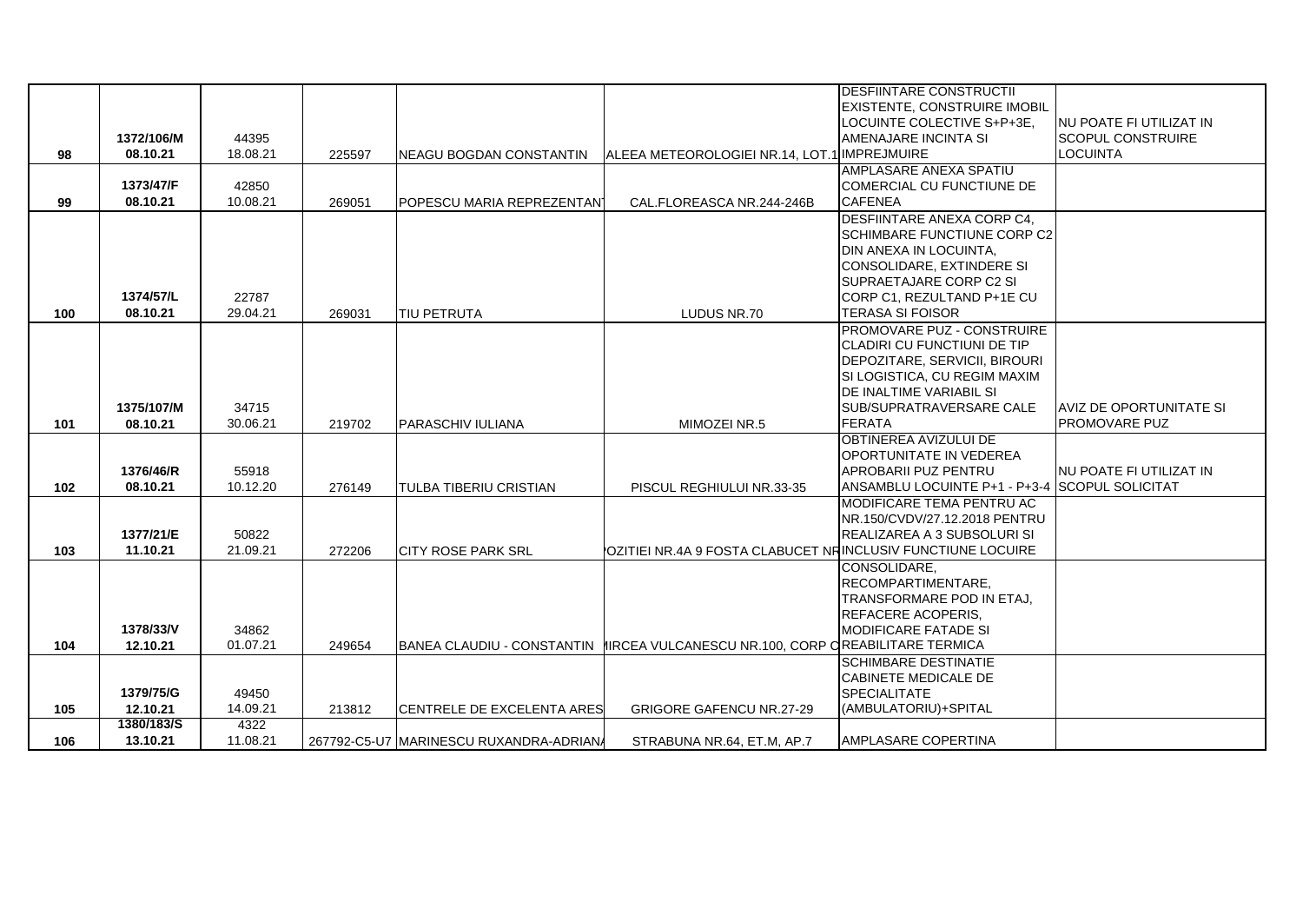|     |            |          |        |                                        |                                                                                    | <b>DESFIINTARE CONSTRUCTII</b>                 |                                 |
|-----|------------|----------|--------|----------------------------------------|------------------------------------------------------------------------------------|------------------------------------------------|---------------------------------|
|     |            |          |        |                                        |                                                                                    | <b>IEXISTENTE. CONSTRUIRE IMOBIL</b>           |                                 |
|     |            |          |        |                                        |                                                                                    | LOCUINTE COLECTIVE S+P+3E.                     | INU POATE FI UTILIZAT IN        |
|     | 1372/106/M | 44395    |        |                                        |                                                                                    | AMENAJARE INCINTA SI                           | <b>SCOPUL CONSTRUIRE</b>        |
| 98  | 08.10.21   | 18.08.21 | 225597 | <b>NEAGU BOGDAN CONSTANTIN</b>         | ALEEA METEOROLOGIEI NR.14, LOT.1 IMPREJMUIRE                                       |                                                | <b>LOCUINTA</b>                 |
|     |            |          |        |                                        |                                                                                    | AMPLASARE ANEXA SPATIU                         |                                 |
|     | 1373/47/F  | 42850    |        |                                        |                                                                                    | COMERCIAL CU FUNCTIUNE DE                      |                                 |
| 99  | 08.10.21   | 10.08.21 | 269051 | POPESCU MARIA REPREZENTANI             | CAL.FLOREASCA NR.244-246B                                                          | <b>CAFENEA</b>                                 |                                 |
|     |            |          |        |                                        |                                                                                    | <b>DESFIINTARE ANEXA CORP C4,</b>              |                                 |
|     |            |          |        |                                        |                                                                                    | <b>SCHIMBARE FUNCTIUNE CORP C2</b>             |                                 |
|     |            |          |        |                                        |                                                                                    | DIN ANEXA IN LOCUINTA,                         |                                 |
|     |            |          |        |                                        |                                                                                    | CONSOLIDARE, EXTINDERE SI                      |                                 |
|     |            |          |        |                                        |                                                                                    | <b>SUPRAETAJARE CORP C2 SI</b>                 |                                 |
|     | 1374/57/L  | 22787    |        |                                        |                                                                                    | CORP C1, REZULTAND P+1E CU                     |                                 |
| 100 | 08.10.21   | 29.04.21 | 269031 | <b>TIU PETRUTA</b>                     | LUDUS NR.70                                                                        | <b>TERASA SI FOISOR</b>                        |                                 |
|     |            |          |        |                                        |                                                                                    | <b>PROMOVARE PUZ - CONSTRUIRE</b>              |                                 |
|     |            |          |        |                                        |                                                                                    | CLADIRI CU FUNCTIUNI DE TIP                    |                                 |
|     |            |          |        |                                        |                                                                                    | DEPOZITARE, SERVICII, BIROURI                  |                                 |
|     |            |          |        |                                        |                                                                                    | SI LOGISTICA, CU REGIM MAXIM                   |                                 |
|     |            |          |        |                                        |                                                                                    | <b>IDE INALTIME VARIABIL SI</b>                |                                 |
|     | 1375/107/M | 34715    |        |                                        |                                                                                    | SUB/SUPRATRAVERSARE CALE                       | <b>AVIZ DE OPORTUNITATE SI</b>  |
| 101 | 08.10.21   | 30.06.21 | 219702 | <b>PARASCHIV IULIANA</b>               | MIMOZEI NR.5                                                                       | <b>FERATA</b>                                  | <b>PROMOVARE PUZ</b>            |
|     |            |          |        |                                        |                                                                                    | OBTINEREA AVIZULUI DE                          |                                 |
|     |            |          |        |                                        |                                                                                    | <b>IOPORTUNITATE IN VEDEREA</b>                |                                 |
|     | 1376/46/R  | 55918    |        |                                        |                                                                                    | <b>APROBARII PUZ PENTRU</b>                    | <b>INU POATE FI UTILIZAT IN</b> |
| 102 | 08.10.21   | 10.12.20 | 276149 | TULBA TIBERIU CRISTIAN                 | PISCUL REGHIULUI NR.33-35                                                          | ANSAMBLU LOCUINTE P+1 - P+3-4 SCOPUL SOLICITAT |                                 |
|     |            |          |        |                                        |                                                                                    | MODIFICARE TEMA PENTRU AC                      |                                 |
|     |            |          |        |                                        |                                                                                    | NR.150/CVDV/27.12.2018 PENTRU                  |                                 |
|     | 1377/21/E  | 50822    |        |                                        |                                                                                    | REALIZAREA A 3 SUBSOLURI SI                    |                                 |
| 103 | 11.10.21   | 21.09.21 | 272206 | <b>CITY ROSE PARK SRL</b>              | OZITIEI NR.4A 9 FOSTA CLABUCET NRINCLUSIV FUNCTIUNE LOCUIRE                        |                                                |                                 |
|     |            |          |        |                                        |                                                                                    | CONSOLIDARE.                                   |                                 |
|     |            |          |        |                                        |                                                                                    | RECOMPARTIMENTARE,                             |                                 |
|     |            |          |        |                                        |                                                                                    | TRANSFORMARE POD IN ETAJ.                      |                                 |
|     |            |          |        |                                        |                                                                                    | <b>REFACERE ACOPERIS,</b>                      |                                 |
|     | 1378/33/V  | 34862    |        |                                        |                                                                                    | <b>IMODIFICARE FATADE SI</b>                   |                                 |
| 104 | 12.10.21   | 01.07.21 | 249654 |                                        | IBANEA CLAUDIU - CONSTANTIN  IIIRCEA VULCANESCU NR.100. CORP Q'REABILITARE TERMICA |                                                |                                 |
|     |            |          |        |                                        |                                                                                    | <b>SCHIMBARE DESTINATIE</b>                    |                                 |
|     |            |          |        |                                        |                                                                                    | <b>CABINETE MEDICALE DE</b>                    |                                 |
|     | 1379/75/G  | 49450    |        |                                        |                                                                                    | <b>SPECIALITATE</b>                            |                                 |
| 105 | 12.10.21   | 14.09.21 | 213812 | <b>CENTRELE DE EXCELENTA ARES</b>      | <b>GRIGORE GAFENCU NR.27-29</b>                                                    | (AMBULATORIU)+SPITAL                           |                                 |
|     | 1380/183/S | 4322     |        |                                        |                                                                                    |                                                |                                 |
|     |            | 11.08.21 |        | 267792-C5-U7 MARINESCU RUXANDRA-ADRIAN | STRABUNA NR.64, ET.M, AP.7                                                         | AMPLASARE COPERTINA                            |                                 |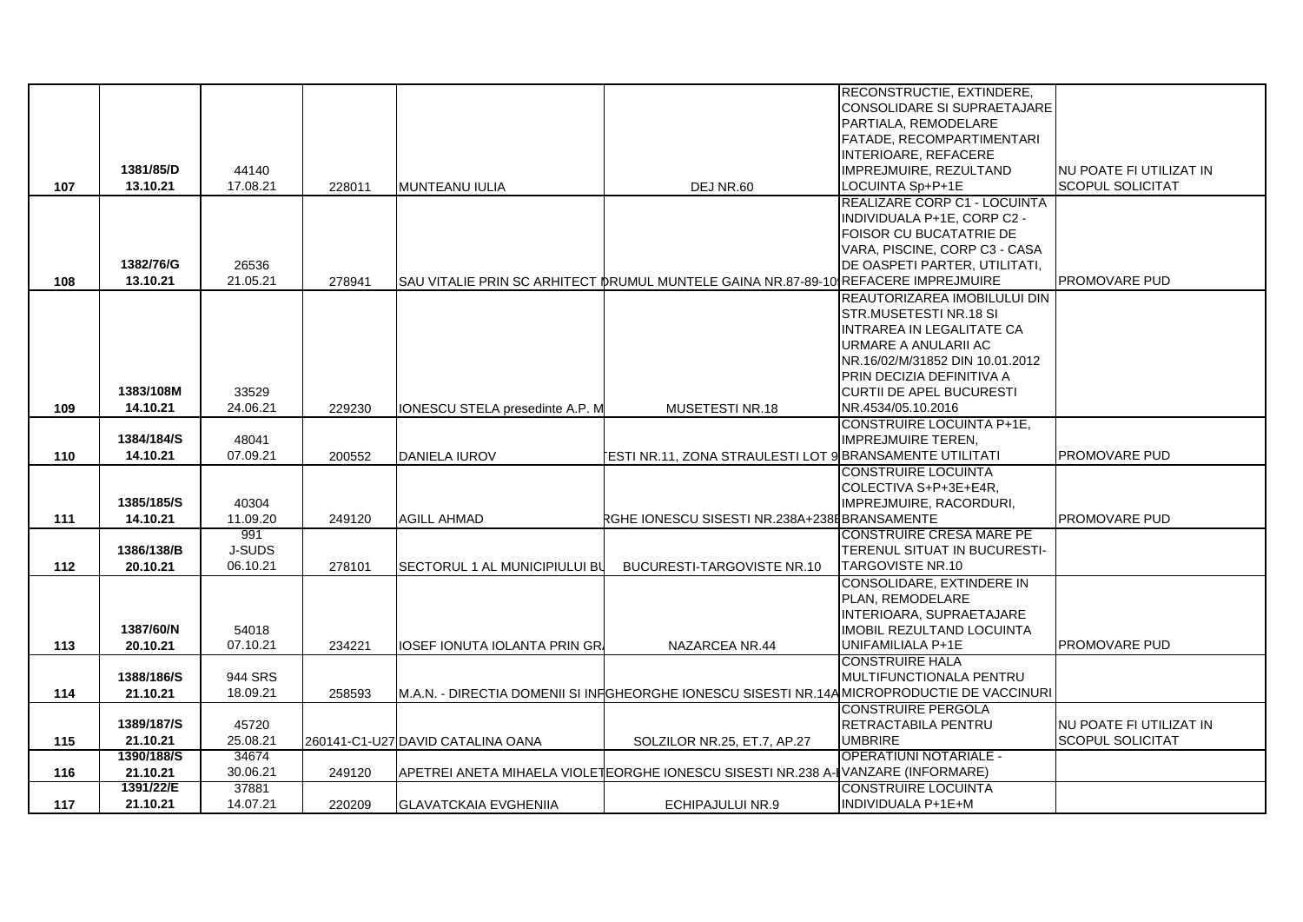|     |            |          |        |                                   |                                                                                            | <b>RECONSTRUCTIE, EXTINDERE,</b>    |                         |
|-----|------------|----------|--------|-----------------------------------|--------------------------------------------------------------------------------------------|-------------------------------------|-------------------------|
|     |            |          |        |                                   |                                                                                            | <b>CONSOLIDARE SI SUPRAETAJARE</b>  |                         |
|     |            |          |        |                                   |                                                                                            | PARTIALA, REMODELARE                |                         |
|     |            |          |        |                                   |                                                                                            | FATADE, RECOMPARTIMENTARI           |                         |
|     |            |          |        |                                   |                                                                                            | INTERIOARE, REFACERE                |                         |
|     | 1381/85/D  | 44140    |        |                                   |                                                                                            | IMPREJMUIRE, REZULTAND              | NU POATE FI UTILIZAT IN |
| 107 | 13.10.21   | 17.08.21 | 228011 | MUNTEANU IULIA                    | DEJ NR.60                                                                                  | LOCUINTA Sp+P+1E                    | <b>SCOPUL SOLICITAT</b> |
|     |            |          |        |                                   |                                                                                            | <b>REALIZARE CORP C1 - LOCUINTA</b> |                         |
|     |            |          |        |                                   |                                                                                            | INDIVIDUALA P+1E, CORP C2 -         |                         |
|     |            |          |        |                                   |                                                                                            | FOISOR CU BUCATATRIE DE             |                         |
|     |            |          |        |                                   |                                                                                            | VARA, PISCINE, CORP C3 - CASA       |                         |
|     | 1382/76/G  | 26536    |        |                                   |                                                                                            | DE OASPETI PARTER, UTILITATI,       |                         |
| 108 | 13.10.21   | 21.05.21 | 278941 |                                   | SAU VITALIE PRIN SC ARHITECT DRUMUL MUNTELE GAINA NR.87-89-10 REFACERE IMPREJMUIRE         |                                     | PROMOVARE PUD           |
|     |            |          |        |                                   |                                                                                            | REAUTORIZAREA IMOBILULUI DIN        |                         |
|     |            |          |        |                                   |                                                                                            | STR.MUSETESTI NR.18 SI              |                         |
|     |            |          |        |                                   |                                                                                            | INTRAREA IN LEGALITATE CA           |                         |
|     |            |          |        |                                   |                                                                                            | URMARE A ANULARII AC                |                         |
|     |            |          |        |                                   |                                                                                            | NR.16/02/M/31852 DIN 10.01.2012     |                         |
|     |            |          |        |                                   |                                                                                            | PRIN DECIZIA DEFINITIVA A           |                         |
|     | 1383/108M  | 33529    |        |                                   |                                                                                            | <b>CURTII DE APEL BUCURESTI</b>     |                         |
| 109 | 14.10.21   | 24.06.21 | 229230 | IONESCU STELA presedinte A.P. M   | MUSETESTI NR.18                                                                            | NR.4534/05.10.2016                  |                         |
|     |            |          |        |                                   |                                                                                            | <b>CONSTRUIRE LOCUINTA P+1E,</b>    |                         |
|     | 1384/184/S | 48041    |        |                                   |                                                                                            | <b>IMPREJMUIRE TEREN,</b>           |                         |
| 110 | 14.10.21   | 07.09.21 | 200552 | DANIELA IUROV                     | ESTI NR.11, ZONA STRAULESTI LOT 9 BRANSAMENTE UTILITATI                                    |                                     | PROMOVARE PUD           |
|     |            |          |        |                                   |                                                                                            | <b>CONSTRUIRE LOCUINTA</b>          |                         |
|     |            |          |        |                                   |                                                                                            | COLECTIVA S+P+3E+E4R,               |                         |
|     | 1385/185/S | 40304    |        |                                   |                                                                                            | IMPREJMUIRE, RACORDURI,             |                         |
| 111 | 14.10.21   | 11.09.20 | 249120 | <b>AGILL AHMAD</b>                | RGHE IONESCU SISESTI NR.238A+238EBRANSAMENTE                                               |                                     | PROMOVARE PUD           |
|     |            | 991      |        |                                   |                                                                                            | <b>CONSTRUIRE CRESA MARE PE</b>     |                         |
|     | 1386/138/B | J-SUDS   |        |                                   |                                                                                            | TERENUL SITUAT IN BUCURESTI-        |                         |
| 112 | 20.10.21   | 06.10.21 | 278101 | SECTORUL 1 AL MUNICIPIULUI BU     | <b>BUCURESTI-TARGOVISTE NR.10</b>                                                          | <b>TARGOVISTE NR.10</b>             |                         |
|     |            |          |        |                                   |                                                                                            | CONSOLIDARE, EXTINDERE IN           |                         |
|     |            |          |        |                                   |                                                                                            | PLAN, REMODELARE                    |                         |
|     |            |          |        |                                   |                                                                                            | INTERIOARA, SUPRAETAJARE            |                         |
|     | 1387/60/N  | 54018    |        |                                   |                                                                                            | <b>IMOBIL REZULTAND LOCUINTA</b>    |                         |
| 113 | 20.10.21   | 07.10.21 | 234221 | IOSEF IONUTA IOLANTA PRIN GR.     | NAZARCEA NR.44                                                                             | UNIFAMILIALA P+1E                   | <b>PROMOVARE PUD</b>    |
|     |            |          |        |                                   |                                                                                            | <b>CONSTRUIRE HALA</b>              |                         |
|     | 1388/186/S | 944 SRS  |        |                                   |                                                                                            | MULTIFUNCTIONALA PENTRU             |                         |
| 114 | 21.10.21   | 18.09.21 | 258593 |                                   | M.A.N. - DIRECTIA DOMENII SI INFOHEORGHE IONESCU SISESTI NR.14AMICROPRODUCTIE DE VACCINURI |                                     |                         |
|     |            |          |        |                                   |                                                                                            | <b>CONSTRUIRE PERGOLA</b>           |                         |
|     | 1389/187/S | 45720    |        |                                   |                                                                                            | <b>RETRACTABILA PENTRU</b>          | NU POATE FI UTILIZAT IN |
| 115 | 21.10.21   | 25.08.21 |        | 260141-C1-U27 DAVID CATALINA OANA | SOLZILOR NR.25, ET.7, AP.27                                                                | <b>UMBRIRE</b>                      | <b>SCOPUL SOLICITAT</b> |
|     | 1390/188/S | 34674    |        |                                   |                                                                                            | <b>OPERATIUNI NOTARIALE -</b>       |                         |
| 116 | 21.10.21   | 30.06.21 | 249120 |                                   | APETREI ANETA MIHAELA VIOLETEORGHE IONESCU SISESTI NR.238 A- VANZARE (INFORMARE)           |                                     |                         |
|     | 1391/22/E  | 37881    |        |                                   |                                                                                            | CONSTRUIRE LOCUINTA                 |                         |
| 117 | 21.10.21   | 14.07.21 | 220209 | <b>GLAVATCKAIA EVGHENIIA</b>      | ECHIPAJULUI NR.9                                                                           | INDIVIDUALA P+1E+M                  |                         |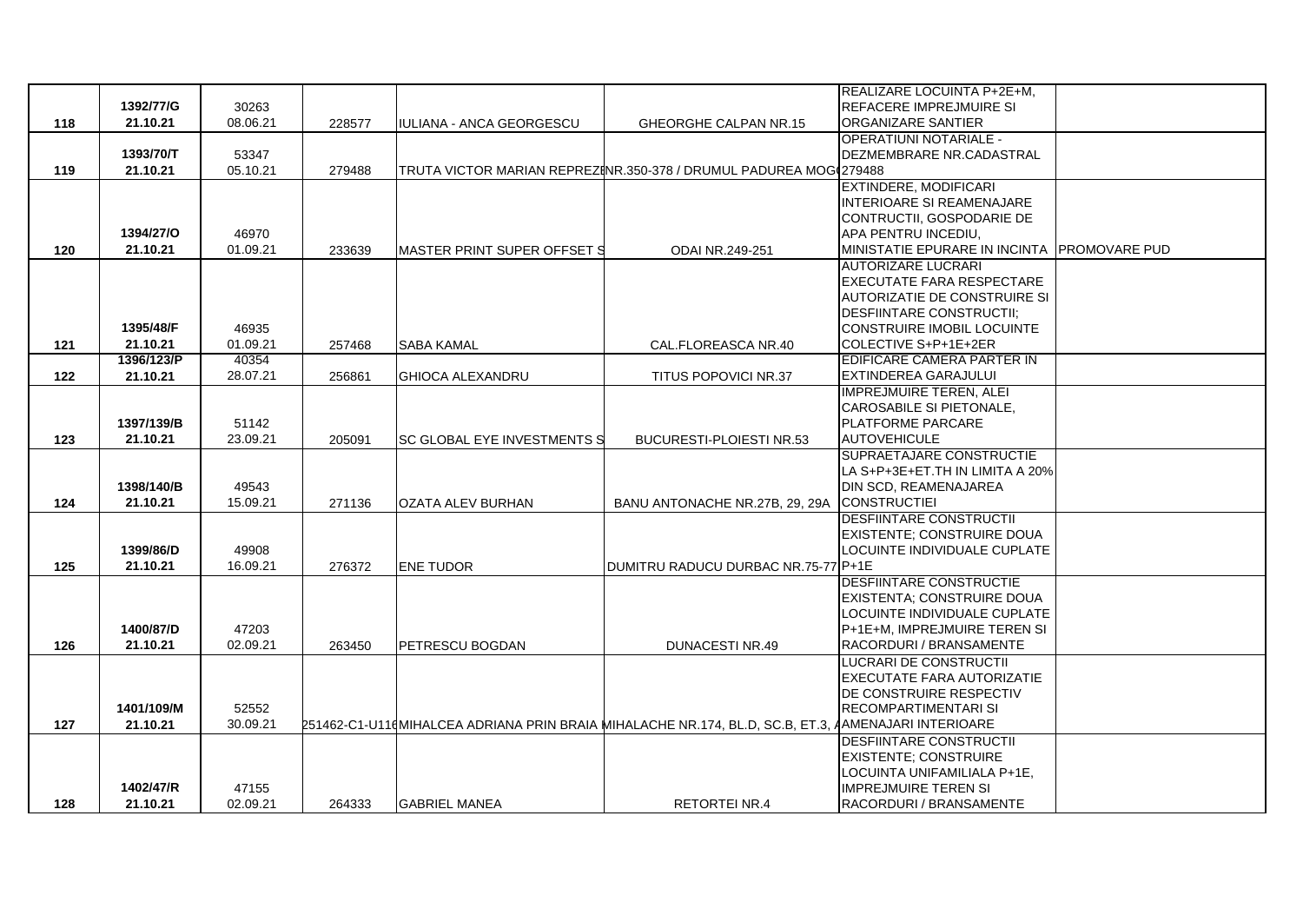|     |            |          |        |                             |                                                                                                      | REALIZARE LOCUINTA P+2E+M.                  |  |
|-----|------------|----------|--------|-----------------------------|------------------------------------------------------------------------------------------------------|---------------------------------------------|--|
|     | 1392/77/G  | 30263    |        |                             |                                                                                                      | <b>REFACERE IMPREJMUIRE SI</b>              |  |
| 118 | 21.10.21   | 08.06.21 | 228577 | IULIANA - ANCA GEORGESCU    | GHEORGHE CALPAN NR.15                                                                                | ORGANIZARE SANTIER                          |  |
|     |            |          |        |                             |                                                                                                      | <b>OPERATIUNI NOTARIALE -</b>               |  |
|     | 1393/70/T  | 53347    |        |                             |                                                                                                      | DEZMEMBRARE NR.CADASTRAL                    |  |
| 119 | 21.10.21   | 05.10.21 | 279488 |                             | TRUTA VICTOR MARIAN REPREZINR.350-378 / DRUMUL PADUREA MOG 279488                                    |                                             |  |
|     |            |          |        |                             |                                                                                                      | <b>EXTINDERE, MODIFICARI</b>                |  |
|     |            |          |        |                             |                                                                                                      | <b>INTERIOARE SI REAMENAJARE</b>            |  |
|     |            |          |        |                             |                                                                                                      | CONTRUCTII. GOSPODARIE DE                   |  |
|     | 1394/27/0  | 46970    |        |                             |                                                                                                      | APA PENTRU INCEDIU,                         |  |
| 120 | 21.10.21   | 01.09.21 | 233639 | MASTER PRINT SUPER OFFSET S | ODAI NR.249-251                                                                                      | MINISTATIE EPURARE IN INCINTA PROMOVARE PUD |  |
|     |            |          |        |                             |                                                                                                      | <b>AUTORIZARE LUCRARI</b>                   |  |
|     |            |          |        |                             |                                                                                                      | EXECUTATE FARA RESPECTARE                   |  |
|     |            |          |        |                             |                                                                                                      | <b>AUTORIZATIE DE CONSTRUIRE SI</b>         |  |
|     |            |          |        |                             |                                                                                                      | <b>DESFIINTARE CONSTRUCTII:</b>             |  |
|     | 1395/48/F  | 46935    |        |                             |                                                                                                      | <b>CONSTRUIRE IMOBIL LOCUINTE</b>           |  |
| 121 | 21.10.21   | 01.09.21 | 257468 | <b>SABA KAMAL</b>           | CAL.FLOREASCA NR.40                                                                                  | COLECTIVE S+P+1E+2ER                        |  |
|     | 1396/123/P | 40354    |        |                             |                                                                                                      | EDIFICARE CAMERA PARTER IN                  |  |
| 122 | 21.10.21   | 28.07.21 | 256861 | <b>GHIOCA ALEXANDRU</b>     | TITUS POPOVICI NR.37                                                                                 | EXTINDEREA GARAJULUI                        |  |
|     |            |          |        |                             |                                                                                                      | <b>IMPREJMUIRE TEREN, ALEI</b>              |  |
|     |            |          |        |                             |                                                                                                      | CAROSABILE SI PIETONALE,                    |  |
|     | 1397/139/B | 51142    |        |                             |                                                                                                      | <b>PLATFORME PARCARE</b>                    |  |
| 123 | 21.10.21   | 23.09.21 | 205091 | SC GLOBAL EYE INVESTMENTS S | BUCURESTI-PLOIESTI NR.53                                                                             | <b>AUTOVEHICULE</b>                         |  |
|     |            |          |        |                             |                                                                                                      | SUPRAETAJARE CONSTRUCTIE                    |  |
|     |            |          |        |                             |                                                                                                      | LA S+P+3E+ET.TH IN LIMITA A 20%             |  |
|     | 1398/140/B | 49543    |        |                             |                                                                                                      | DIN SCD. REAMENAJAREA                       |  |
| 124 | 21.10.21   | 15.09.21 | 271136 | <b>OZATA ALEV BURHAN</b>    | BANU ANTONACHE NR.27B, 29, 29A                                                                       | <b>CONSTRUCTIEI</b>                         |  |
|     |            |          |        |                             |                                                                                                      | <b>DESFIINTARE CONSTRUCTIL</b>              |  |
|     |            |          |        |                             |                                                                                                      | <b>EXISTENTE: CONSTRUIRE DOUA</b>           |  |
|     | 1399/86/D  | 49908    |        |                             |                                                                                                      | LOCUINTE INDIVIDUALE CUPLATE                |  |
| 125 | 21.10.21   | 16.09.21 | 276372 | <b>ENE TUDOR</b>            | DUMITRU RADUCU DURBAC NR.75-77 P+1E                                                                  |                                             |  |
|     |            |          |        |                             |                                                                                                      | DESFIINTARE CONSTRUCTIE                     |  |
|     |            |          |        |                             |                                                                                                      | <b>EXISTENTA: CONSTRUIRE DOUA</b>           |  |
|     |            |          |        |                             |                                                                                                      | LOCUINTE INDIVIDUALE CUPLATE                |  |
|     | 1400/87/D  | 47203    |        |                             |                                                                                                      | P+1E+M, IMPREJMUIRE TEREN SI                |  |
| 126 | 21.10.21   | 02.09.21 | 263450 | PETRESCU BOGDAN             | <b>DUNACESTI NR.49</b>                                                                               | RACORDURI / BRANSAMENTE                     |  |
|     |            |          |        |                             |                                                                                                      | <b>LUCRARI DE CONSTRUCTII</b>               |  |
|     |            |          |        |                             |                                                                                                      | EXECUTATE FARA AUTORIZATIE                  |  |
|     |            |          |        |                             |                                                                                                      | DE CONSTRUIRE RESPECTIV                     |  |
|     | 1401/109/M | 52552    |        |                             |                                                                                                      | <b>RECOMPARTIMENTARI SI</b>                 |  |
| 127 | 21.10.21   | 30.09.21 |        |                             | 251462-C1-U110 MIHALCEA ADRIANA PRIN BRAIA MIHALACHE NR.174, BL.D, SC.B, ET.3, AAMENAJARI INTERIOARE |                                             |  |
|     |            |          |        |                             |                                                                                                      | <b>DESFIINTARE CONSTRUCTIL</b>              |  |
|     |            |          |        |                             |                                                                                                      | <b>EXISTENTE: CONSTRUIRE</b>                |  |
|     |            |          |        |                             |                                                                                                      | LOCUINTA UNIFAMILIALA P+1E,                 |  |
|     | 1402/47/R  | 47155    |        |                             |                                                                                                      | <b>IMPREJMUIRE TEREN SI</b>                 |  |
| 128 | 21.10.21   | 02.09.21 | 264333 | <b>GABRIEL MANEA</b>        | <b>RETORTEI NR.4</b>                                                                                 | RACORDURI / BRANSAMENTE                     |  |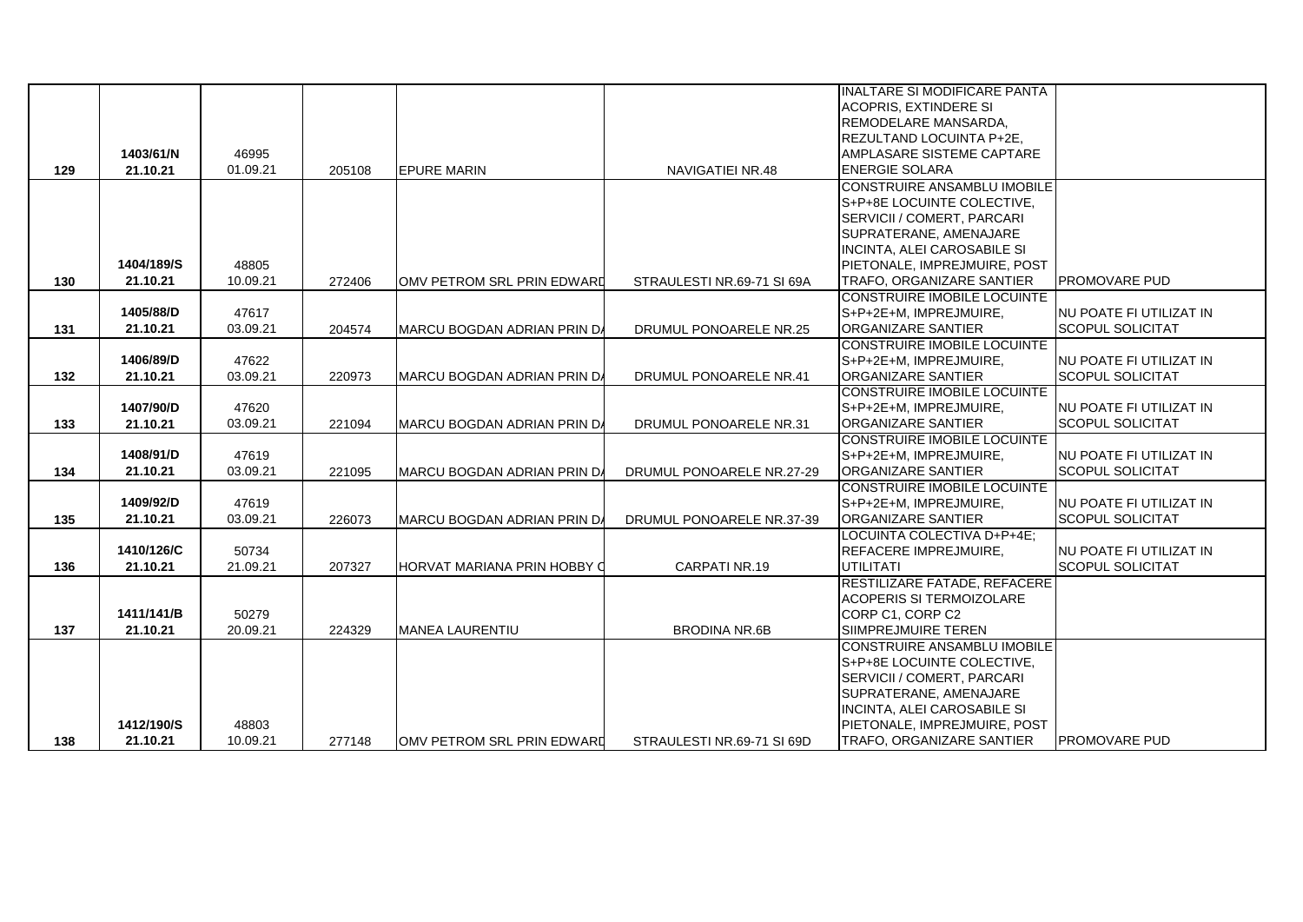|     |            |          |        |                                    |                            | INALTARE SI MODIFICARE PANTA       |                                |
|-----|------------|----------|--------|------------------------------------|----------------------------|------------------------------------|--------------------------------|
|     |            |          |        |                                    |                            | <b>ACOPRIS, EXTINDERE SI</b>       |                                |
|     |            |          |        |                                    |                            | <b>REMODELARE MANSARDA,</b>        |                                |
|     |            |          |        |                                    |                            | REZULTAND LOCUINTA P+2E,           |                                |
|     | 1403/61/N  | 46995    |        |                                    |                            | AMPLASARE SISTEME CAPTARE          |                                |
| 129 | 21.10.21   | 01.09.21 | 205108 | <b>EPURE MARIN</b>                 | NAVIGATIEI NR.48           | <b>ENERGIE SOLARA</b>              |                                |
|     |            |          |        |                                    |                            | <b>CONSTRUIRE ANSAMBLU IMOBILE</b> |                                |
|     |            |          |        |                                    |                            | <b>S+P+8E LOCUINTE COLECTIVE.</b>  |                                |
|     |            |          |        |                                    |                            | SERVICII / COMERT, PARCARI         |                                |
|     |            |          |        |                                    |                            | SUPRATERANE, AMENAJARE             |                                |
|     |            |          |        |                                    |                            | <b>INCINTA, ALEI CAROSABILE SI</b> |                                |
|     | 1404/189/S | 48805    |        |                                    |                            | PIETONALE, IMPREJMUIRE, POST       |                                |
| 130 | 21.10.21   | 10.09.21 | 272406 | OMV PETROM SRL PRIN EDWARD         | STRAULESTI NR.69-71 SI 69A | <b>TRAFO, ORGANIZARE SANTIER</b>   | PROMOVARE PUD                  |
|     |            |          |        |                                    |                            | <b>CONSTRUIRE IMOBILE LOCUINTE</b> |                                |
|     | 1405/88/D  | 47617    |        |                                    |                            | S+P+2E+M, IMPREJMUIRE,             | NU POATE FI UTILIZAT IN        |
| 131 | 21.10.21   | 03.09.21 | 204574 | MARCU BOGDAN ADRIAN PRIN DA        | DRUMUL PONOARELE NR.25     | <b>ORGANIZARE SANTIER</b>          | <b>SCOPUL SOLICITAT</b>        |
|     |            |          |        |                                    |                            | <b>CONSTRUIRE IMOBILE LOCUINTE</b> |                                |
|     | 1406/89/D  | 47622    |        |                                    |                            | S+P+2E+M, IMPREJMUIRE,             | NU POATE FI UTILIZAT IN        |
| 132 | 21.10.21   | 03.09.21 | 220973 | MARCU BOGDAN ADRIAN PRIN DA        | DRUMUL PONOARELE NR.41     | <b>ORGANIZARE SANTIER</b>          | <b>SCOPUL SOLICITAT</b>        |
|     |            |          |        |                                    |                            | <b>CONSTRUIRE IMOBILE LOCUINTE</b> |                                |
|     | 1407/90/D  | 47620    |        |                                    |                            | S+P+2E+M, IMPREJMUIRE,             | <b>NU POATE FI UTILIZAT IN</b> |
| 133 | 21.10.21   | 03.09.21 | 221094 | MARCU BOGDAN ADRIAN PRIN DA        | DRUMUL PONOARELE NR.31     | <b>ORGANIZARE SANTIER</b>          | <b>SCOPUL SOLICITAT</b>        |
|     |            |          |        |                                    |                            | <b>CONSTRUIRE IMOBILE LOCUINTE</b> |                                |
|     | 1408/91/D  | 47619    |        |                                    |                            | S+P+2E+M, IMPREJMUIRE,             | NU POATE FI UTILIZAT IN        |
| 134 | 21.10.21   | 03.09.21 | 221095 | MARCU BOGDAN ADRIAN PRIN DA        | DRUMUL PONOARELE NR.27-29  | <b>ORGANIZARE SANTIER</b>          | <b>SCOPUL SOLICITAT</b>        |
|     |            |          |        |                                    |                            | <b>CONSTRUIRE IMOBILE LOCUINTE</b> |                                |
|     | 1409/92/D  | 47619    |        |                                    |                            | S+P+2E+M, IMPREJMUIRE,             | <b>NU POATE FI UTILIZAT IN</b> |
| 135 | 21.10.21   | 03.09.21 | 226073 | MARCU BOGDAN ADRIAN PRIN DA        | DRUMUL PONOARELE NR.37-39  | <b>ORGANIZARE SANTIER</b>          | <b>SCOPUL SOLICITAT</b>        |
|     |            |          |        |                                    |                            | LOCUINTA COLECTIVA D+P+4E;         |                                |
|     | 1410/126/C | 50734    |        |                                    |                            | REFACERE IMPREJMUIRE,              | NU POATE FI UTILIZAT IN        |
| 136 | 21.10.21   | 21.09.21 | 207327 | <b>HORVAT MARIANA PRIN HOBBY O</b> | CARPATI NR.19              | <b>UTILITATI</b>                   | <b>SCOPUL SOLICITAT</b>        |
|     |            |          |        |                                    |                            | RESTILIZARE FATADE, REFACERE       |                                |
|     |            |          |        |                                    |                            | <b>ACOPERIS SI TERMOIZOLARE</b>    |                                |
|     | 1411/141/B | 50279    |        |                                    |                            | CORP C1, CORP C2                   |                                |
| 137 | 21.10.21   | 20.09.21 | 224329 | <b>MANEA LAURENTIU</b>             | <b>BRODINA NR.6B</b>       | SIIMPREJMUIRE TEREN                |                                |
|     |            |          |        |                                    |                            | <b>CONSTRUIRE ANSAMBLU IMOBILE</b> |                                |
|     |            |          |        |                                    |                            | <b>IS+P+8E LOCUINTE COLECTIVE.</b> |                                |
|     |            |          |        |                                    |                            | <b>ISERVICII / COMERT. PARCARI</b> |                                |
|     |            |          |        |                                    |                            | SUPRATERANE, AMENAJARE             |                                |
|     |            |          |        |                                    |                            | <b>INCINTA, ALEI CAROSABILE SI</b> |                                |
|     | 1412/190/S | 48803    |        |                                    |                            | PIETONALE, IMPREJMUIRE, POST       |                                |
| 138 | 21.10.21   | 10.09.21 | 277148 | OMV PETROM SRL PRIN EDWARD         | STRAULESTI NR.69-71 SI 69D | <b>TRAFO, ORGANIZARE SANTIER</b>   | <b>PROMOVARE PUD</b>           |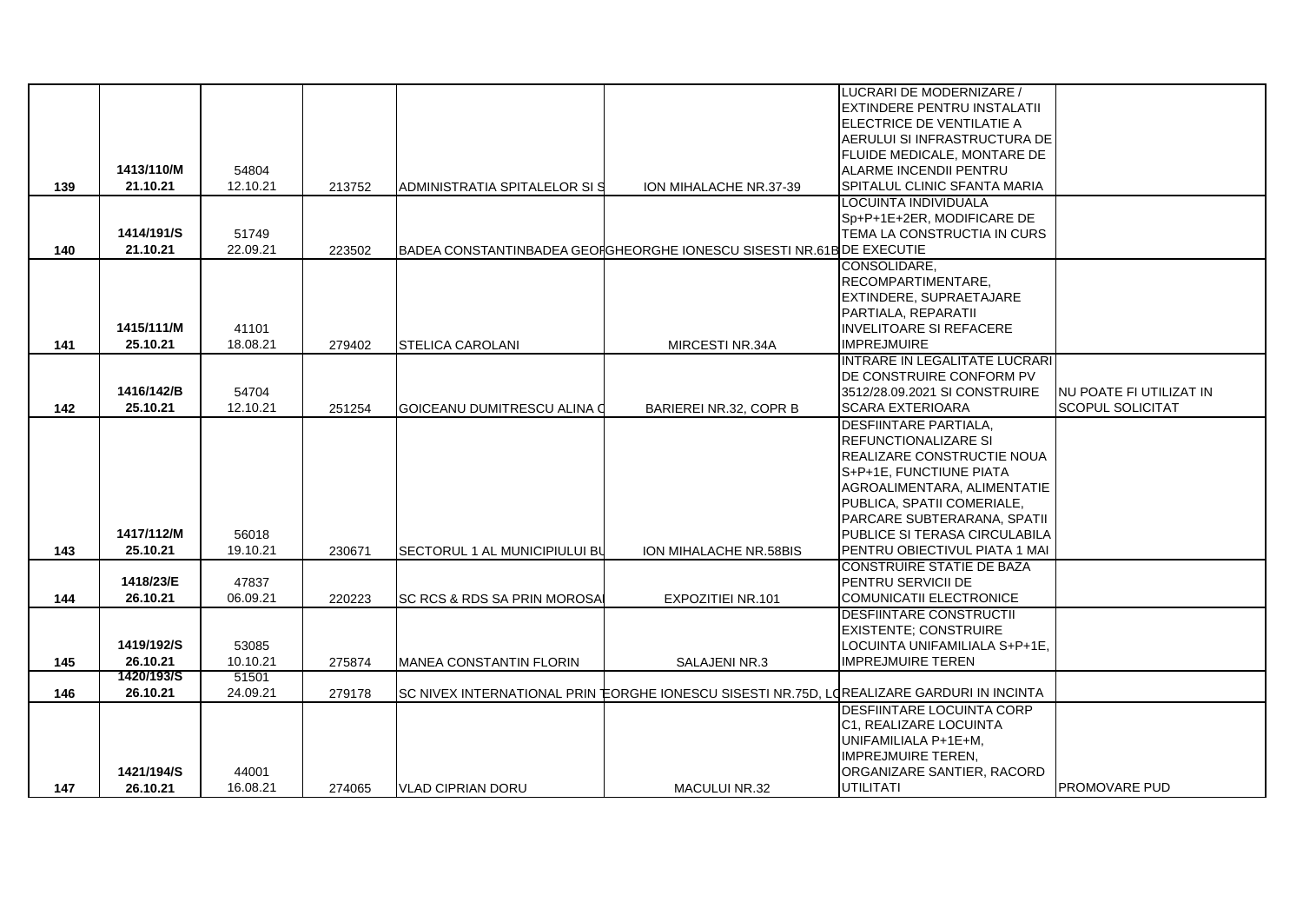|     |            |          |        |                                |                                                                                           | LUCRARI DE MODERNIZARE /                       |                          |
|-----|------------|----------|--------|--------------------------------|-------------------------------------------------------------------------------------------|------------------------------------------------|--------------------------|
|     |            |          |        |                                |                                                                                           | <b>IEXTINDERE PENTRU INSTALATII</b>            |                          |
|     |            |          |        |                                |                                                                                           | <b>IELECTRICE DE VENTILATIE A</b>              |                          |
|     |            |          |        |                                |                                                                                           | AERULUI SI INFRASTRUCTURA DE                   |                          |
|     |            |          |        |                                |                                                                                           | FLUIDE MEDICALE, MONTARE DE                    |                          |
|     | 1413/110/M | 54804    |        |                                |                                                                                           | ALARME INCENDII PENTRU                         |                          |
| 139 | 21.10.21   | 12.10.21 | 213752 | ADMINISTRATIA SPITALELOR SIS   | ION MIHALACHE NR.37-39                                                                    | SPITALUL CLINIC SFANTA MARIA                   |                          |
|     |            |          |        |                                |                                                                                           | LOCUINTA INDIVIDUALA                           |                          |
|     |            |          |        |                                |                                                                                           | Sp+P+1E+2ER, MODIFICARE DE                     |                          |
|     | 1414/191/S | 51749    |        |                                |                                                                                           | TEMA LA CONSTRUCTIA IN CURS                    |                          |
| 140 | 21.10.21   | 22.09.21 | 223502 |                                | BADEA CONSTANTINBADEA GEOIGHEORGHE IONESCU SISESTI NR.61B DE EXECUTIE                     |                                                |                          |
|     |            |          |        |                                |                                                                                           | CONSOLIDARE.                                   |                          |
|     |            |          |        |                                |                                                                                           | RECOMPARTIMENTARE.                             |                          |
|     |            |          |        |                                |                                                                                           | <b>EXTINDERE, SUPRAETAJARE</b>                 |                          |
|     |            |          |        |                                |                                                                                           | PARTIALA, REPARATII                            |                          |
|     | 1415/111/M | 41101    |        |                                |                                                                                           | <b>INVELITOARE SI REFACERE</b>                 |                          |
| 141 | 25.10.21   | 18.08.21 | 279402 | <b>STELICA CAROLANI</b>        | MIRCESTI NR.34A                                                                           | <b>IMPREJMUIRE</b>                             |                          |
|     |            |          |        |                                |                                                                                           | INTRARE IN LEGALITATE LUCRARI                  |                          |
|     |            |          |        |                                |                                                                                           | IDE CONSTRUIRE CONFORM PV                      |                          |
|     | 1416/142/B | 54704    |        |                                |                                                                                           | 3512/28.09.2021 SI CONSTRUIRE                  | INU POATE FI UTILIZAT IN |
| 142 | 25.10.21   | 12.10.21 | 251254 | GOICEANU DUMITRESCU ALINA O    | BARIEREI NR.32, COPR B                                                                    | <b>SCARA EXTERIOARA</b>                        | <b>SCOPUL SOLICITAT</b>  |
|     |            |          |        |                                |                                                                                           | <b>DESFIINTARE PARTIALA.</b>                   |                          |
|     |            |          |        |                                |                                                                                           | <b>REFUNCTIONALIZARE SI</b>                    |                          |
|     |            |          |        |                                |                                                                                           | REALIZARE CONSTRUCTIE NOUA                     |                          |
|     |            |          |        |                                |                                                                                           | S+P+1E, FUNCTIUNE PIATA                        |                          |
|     |            |          |        |                                |                                                                                           | AGROALIMENTARA, ALIMENTATIE                    |                          |
|     |            |          |        |                                |                                                                                           | PUBLICA, SPATII COMERIALE,                     |                          |
|     |            |          |        |                                |                                                                                           | PARCARE SUBTERARANA, SPATII                    |                          |
|     | 1417/112/M | 56018    |        |                                |                                                                                           | <b>PUBLICE SI TERASA CIRCULABILA</b>           |                          |
| 143 | 25.10.21   | 19.10.21 | 230671 | SECTORUL 1 AL MUNICIPIULUI BU  | ION MIHALACHE NR.58BIS                                                                    | PENTRU OBIECTIVUL PIATA 1 MAI                  |                          |
|     |            |          |        |                                |                                                                                           | <b>CONSTRUIRE STATIE DE BAZA</b>               |                          |
|     | 1418/23/E  | 47837    |        |                                |                                                                                           | <b>PENTRU SERVICII DE</b>                      |                          |
| 144 | 26.10.21   | 06.09.21 | 220223 | SC RCS & RDS SA PRIN MOROSAL   | EXPOZITIEI NR.101                                                                         | COMUNICATII ELECTRONICE                        |                          |
|     |            |          |        |                                |                                                                                           | <b>DESFIINTARE CONSTRUCTII</b>                 |                          |
|     |            |          |        |                                |                                                                                           | <b>EXISTENTE: CONSTRUIRE</b>                   |                          |
|     | 1419/192/S | 53085    |        |                                |                                                                                           | LOCUINTA UNIFAMILIALA S+P+1E,                  |                          |
| 145 | 26.10.21   | 10.10.21 | 275874 | <b>MANEA CONSTANTIN FLORIN</b> | <b>SALAJENI NR.3</b>                                                                      | <b>IMPREJMUIRE TEREN</b>                       |                          |
|     | 1420/193/S | 51501    |        |                                |                                                                                           |                                                |                          |
| 146 | 26.10.21   | 24.09.21 | 279178 |                                | SC NIVEX INTERNATIONAL PRIN EORGHE IONESCU SISESTI NR.75D, LOREALIZARE GARDURI IN INCINTA | <b>DESFIINTARE LOCUINTA CORP</b>               |                          |
|     |            |          |        |                                |                                                                                           |                                                |                          |
|     |            |          |        |                                |                                                                                           | C1, REALIZARE LOCUINTA<br>UNIFAMILIALA P+1E+M, |                          |
|     |            |          |        |                                |                                                                                           | <b>IMPREJMUIRE TEREN,</b>                      |                          |
|     | 1421/194/S | 44001    |        |                                |                                                                                           | ORGANIZARE SANTIER, RACORD                     |                          |
| 147 | 26.10.21   | 16.08.21 | 274065 | IVLAD CIPRIAN DORU             | <b>MACULUI NR.32</b>                                                                      | UTILITATI                                      | <b>PROMOVARE PUD</b>     |
|     |            |          |        |                                |                                                                                           |                                                |                          |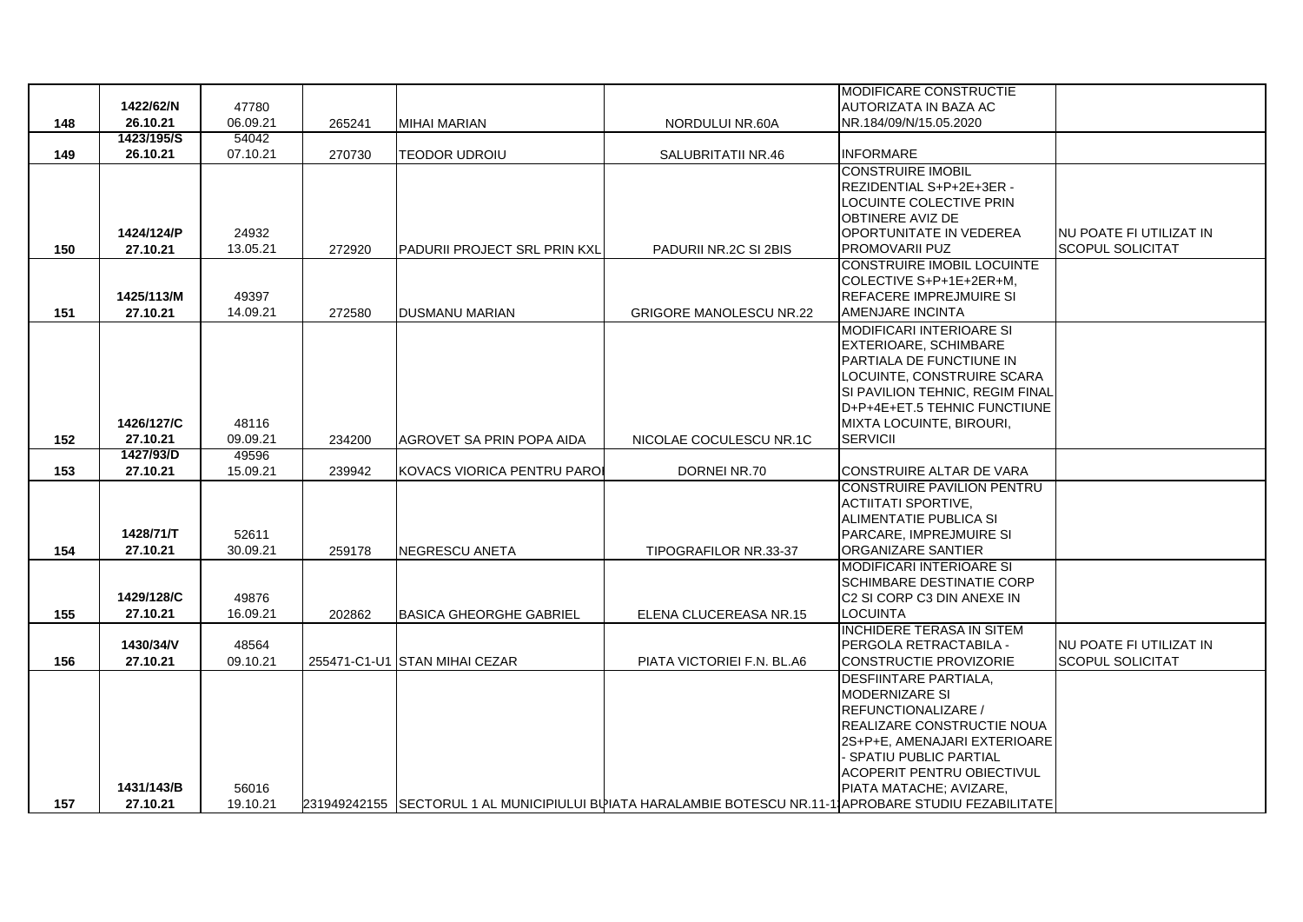|     |            |          |        |                                |                                                                                                        | <b>MODIFICARE CONSTRUCTIE</b>                                   |                          |
|-----|------------|----------|--------|--------------------------------|--------------------------------------------------------------------------------------------------------|-----------------------------------------------------------------|--------------------------|
|     | 1422/62/N  | 47780    |        |                                |                                                                                                        | AUTORIZATA IN BAZA AC                                           |                          |
| 148 | 26.10.21   | 06.09.21 | 265241 | <b>MIHAI MARIAN</b>            | NORDULUI NR.60A                                                                                        | NR.184/09/N/15.05.2020                                          |                          |
|     | 1423/195/S | 54042    |        |                                |                                                                                                        |                                                                 |                          |
| 149 | 26.10.21   | 07.10.21 | 270730 | TEODOR UDROIU                  | SALUBRITATII NR.46                                                                                     | <b>INFORMARE</b>                                                |                          |
|     |            |          |        |                                |                                                                                                        | <b>CONSTRUIRE IMOBIL</b>                                        |                          |
|     |            |          |        |                                |                                                                                                        | REZIDENTIAL S+P+2E+3ER -                                        |                          |
|     |            |          |        |                                |                                                                                                        | LOCUINTE COLECTIVE PRIN                                         |                          |
|     |            |          |        |                                |                                                                                                        | <b>OBTINERE AVIZ DE</b>                                         |                          |
|     | 1424/124/P | 24932    |        |                                |                                                                                                        | <b>IOPORTUNITATE IN VEDEREA</b>                                 | INU POATE FI UTILIZAT IN |
| 150 | 27.10.21   | 13.05.21 | 272920 | PADURII PROJECT SRL PRIN KXL   | PADURII NR.2C SI 2BIS                                                                                  | PROMOVARII PUZ                                                  | <b>SCOPUL SOLICITAT</b>  |
|     |            |          |        |                                |                                                                                                        | <b>CONSTRUIRE IMOBIL LOCUINTE</b>                               |                          |
|     |            |          |        |                                |                                                                                                        | COLECTIVE S+P+1E+2ER+M,                                         |                          |
|     | 1425/113/M | 49397    |        |                                |                                                                                                        | IREFACERE IMPREJMUIRE SI                                        |                          |
| 151 | 27.10.21   | 14.09.21 | 272580 | <b>DUSMANU MARIAN</b>          | <b>GRIGORE MANOLESCU NR.22</b>                                                                         | <b>AMENJARE INCINTA</b>                                         |                          |
|     |            |          |        |                                |                                                                                                        | <b>MODIFICARI INTERIOARE SI</b>                                 |                          |
|     |            |          |        |                                |                                                                                                        | <b>EXTERIOARE, SCHIMBARE</b>                                    |                          |
|     |            |          |        |                                |                                                                                                        | <b>IPARTIALA DE FUNCTIUNE IN</b>                                |                          |
|     |            |          |        |                                |                                                                                                        | LOCUINTE, CONSTRUIRE SCARA                                      |                          |
|     |            |          |        |                                |                                                                                                        | SI PAVILION TEHNIC, REGIM FINAL                                 |                          |
|     |            |          |        |                                |                                                                                                        | D+P+4E+ET.5 TEHNIC FUNCTIUNE                                    |                          |
|     | 1426/127/C | 48116    |        |                                |                                                                                                        | <b>MIXTA LOCUINTE, BIROURI,</b>                                 |                          |
| 152 | 27.10.21   | 09.09.21 | 234200 | AGROVET SA PRIN POPA AIDA      | NICOLAE COCULESCU NR.1C                                                                                | SERVICII                                                        |                          |
|     | 1427/93/D  | 49596    |        |                                |                                                                                                        |                                                                 |                          |
| 153 | 27.10.21   | 15.09.21 | 239942 | KOVACS VIORICA PENTRU PAROI    | DORNEI NR.70                                                                                           | CONSTRUIRE ALTAR DE VARA                                        |                          |
|     |            |          |        |                                |                                                                                                        | <b>CONSTRUIRE PAVILION PENTRU</b><br><b>ACTIITATI SPORTIVE,</b> |                          |
|     |            |          |        |                                |                                                                                                        | ALIMENTATIE PUBLICA SI                                          |                          |
|     | 1428/71/T  | 52611    |        |                                |                                                                                                        | <b>PARCARE, IMPREJMUIRE SI</b>                                  |                          |
| 154 | 27.10.21   | 30.09.21 | 259178 | NEGRESCU ANETA                 | TIPOGRAFILOR NR.33-37                                                                                  | <b>ORGANIZARE SANTIER</b>                                       |                          |
|     |            |          |        |                                |                                                                                                        | <b>MODIFICARI INTERIOARE SI</b>                                 |                          |
|     |            |          |        |                                |                                                                                                        | <b>SCHIMBARE DESTINATIE CORP</b>                                |                          |
|     | 1429/128/C | 49876    |        |                                |                                                                                                        | IC2 SI CORP C3 DIN ANEXE IN                                     |                          |
| 155 | 27.10.21   | 16.09.21 | 202862 | <b>BASICA GHEORGHE GABRIEL</b> | ELENA CLUCEREASA NR.15                                                                                 | <b>LOCUINTA</b>                                                 |                          |
|     |            |          |        |                                |                                                                                                        | <b>INCHIDERE TERASA IN SITEM</b>                                |                          |
|     | 1430/34/V  | 48564    |        |                                |                                                                                                        | <b>PERGOLA RETRACTABILA -</b>                                   | NU POATE FI UTILIZAT IN  |
| 156 | 27.10.21   | 09.10.21 |        | 255471-C1-U1 STAN MIHAI CEZAR  | PIATA VICTORIEI F.N. BL.A6                                                                             | CONSTRUCTIE PROVIZORIE                                          | <b>SCOPUL SOLICITAT</b>  |
|     |            |          |        |                                |                                                                                                        | <b>DESFIINTARE PARTIALA,</b>                                    |                          |
|     |            |          |        |                                |                                                                                                        | <b>MODERNIZARE SI</b>                                           |                          |
|     |            |          |        |                                |                                                                                                        | <b>REFUNCTIONALIZARE /</b>                                      |                          |
|     |            |          |        |                                |                                                                                                        | <b>REALIZARE CONSTRUCTIE NOUA</b>                               |                          |
|     |            |          |        |                                |                                                                                                        | 2S+P+E, AMENAJARI EXTERIOARE                                    |                          |
|     |            |          |        |                                |                                                                                                        | SPATIU PUBLIC PARTIAL                                           |                          |
|     |            |          |        |                                |                                                                                                        | ACOPERIT PENTRU OBIECTIVUL                                      |                          |
|     | 1431/143/B | 56016    |        |                                |                                                                                                        | PIATA MATACHE; AVIZARE,                                         |                          |
| 157 | 27.10.21   | 19.10.21 |        |                                | 231949242155 SECTORUL 1 AL MUNICIPIULUI BUIATA HARALAMBIE BOTESCU NR.11-1 APROBARE STUDIU FEZABILITATE |                                                                 |                          |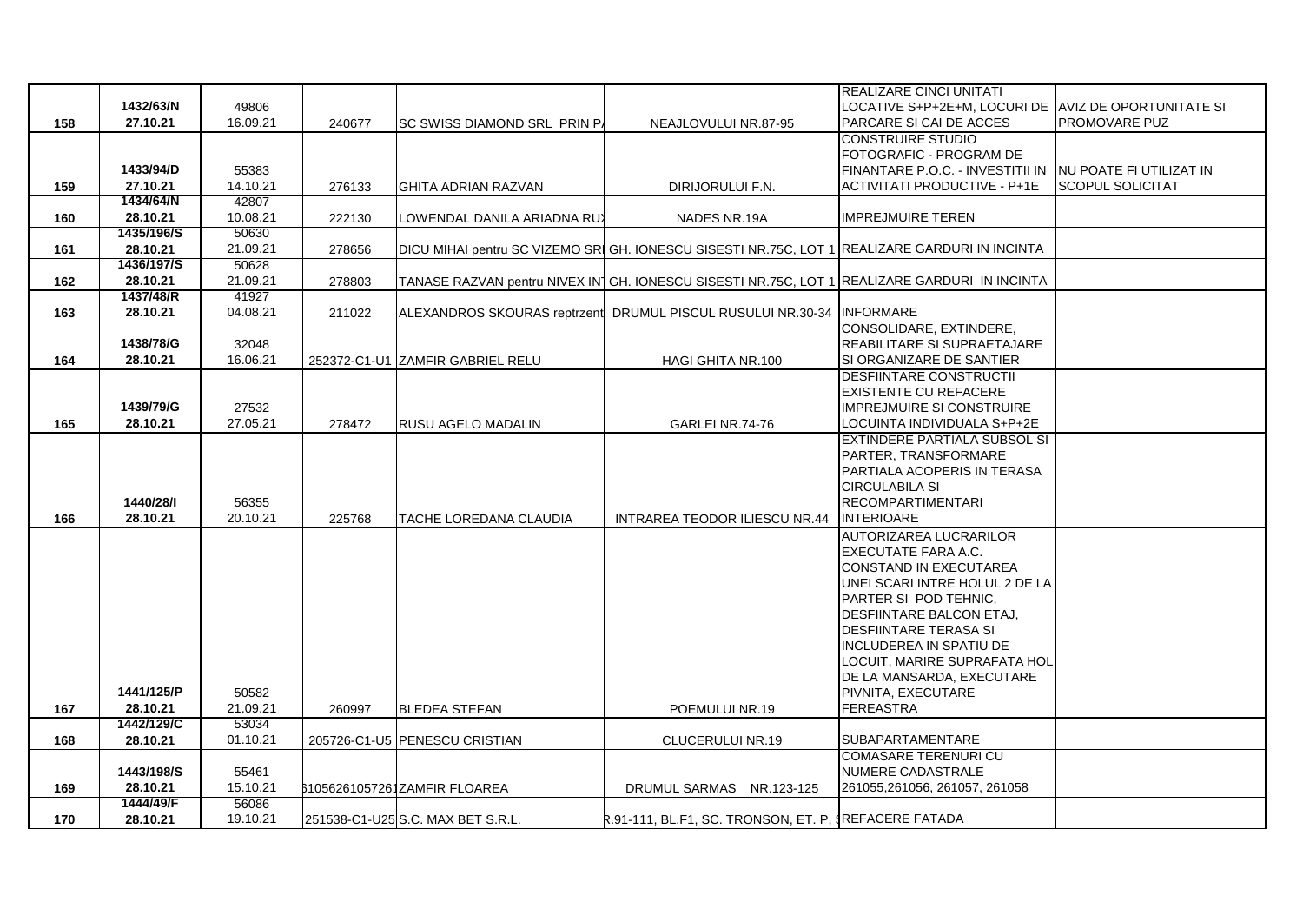|     |            |          |        |                                   |                                                                                                | REALIZARE CINCI UNITATI                                   |                         |
|-----|------------|----------|--------|-----------------------------------|------------------------------------------------------------------------------------------------|-----------------------------------------------------------|-------------------------|
|     | 1432/63/N  | 49806    |        |                                   |                                                                                                | LOCATIVE S+P+2E+M, LOCURI DE  AVIZ DE OPORTUNITATE SI     |                         |
| 158 | 27.10.21   | 16.09.21 | 240677 | SC SWISS DIAMOND SRL PRIN P.      | NEAJLOVULUI NR.87-95                                                                           | PARCARE SI CAI DE ACCES                                   | <b>PROMOVARE PUZ</b>    |
|     |            |          |        |                                   |                                                                                                | <b>CONSTRUIRE STUDIO</b>                                  |                         |
|     |            |          |        |                                   |                                                                                                | FOTOGRAFIC - PROGRAM DE                                   |                         |
|     | 1433/94/D  | 55383    |        |                                   |                                                                                                | FINANTARE P.O.C. - INVESTITII IN INU POATE FI UTILIZAT IN |                         |
| 159 | 27.10.21   | 14.10.21 | 276133 | <b>GHITA ADRIAN RAZVAN</b>        | DIRIJORULUI F.N.                                                                               | <b>ACTIVITATI PRODUCTIVE - P+1E</b>                       | <b>SCOPUL SOLICITAT</b> |
|     | 1434/64/N  | 42807    |        |                                   |                                                                                                |                                                           |                         |
| 160 | 28.10.21   | 10.08.21 | 222130 | LOWENDAL DANILA ARIADNA RU)       | NADES NR.19A                                                                                   | <b>IMPREJMUIRE TEREN</b>                                  |                         |
|     | 1435/196/S | 50630    |        |                                   |                                                                                                |                                                           |                         |
| 161 | 28.10.21   | 21.09.21 | 278656 |                                   | DICU MIHAI pentru SC VIZEMO SRI GH. IONESCU SISESTI NR.75C, LOT 1 REALIZARE GARDURI IN INCINTA |                                                           |                         |
|     | 1436/197/S | 50628    |        |                                   |                                                                                                |                                                           |                         |
| 162 | 28.10.21   | 21.09.21 | 278803 |                                   | TANASE RAZVAN pentru NIVEX IN GH. IONESCU SISESTI NR.75C, LOT 1 REALIZARE GARDURI IN INCINTA   |                                                           |                         |
|     | 1437/48/R  | 41927    |        |                                   |                                                                                                |                                                           |                         |
| 163 | 28.10.21   | 04.08.21 | 211022 |                                   | ALEXANDROS SKOURAS reptrzent DRUMUL PISCUL RUSULUI NR.30-34 IINFORMARE                         |                                                           |                         |
|     |            |          |        |                                   |                                                                                                | CONSOLIDARE, EXTINDERE,                                   |                         |
|     | 1438/78/G  | 32048    |        |                                   |                                                                                                | REABILITARE SI SUPRAETAJARE                               |                         |
| 164 | 28.10.21   | 16.06.21 |        | 252372-C1-U1 ZAMFIR GABRIEL RELU  | HAGI GHITA NR.100                                                                              | SI ORGANIZARE DE SANTIER                                  |                         |
|     |            |          |        |                                   |                                                                                                | <b>DESFIINTARE CONSTRUCTII</b>                            |                         |
|     |            |          |        |                                   |                                                                                                | <b>EXISTENTE CU REFACERE</b>                              |                         |
|     | 1439/79/G  | 27532    |        |                                   |                                                                                                | <b>IMPREJMUIRE SI CONSTRUIRE</b>                          |                         |
|     |            |          |        |                                   |                                                                                                |                                                           |                         |
| 165 | 28.10.21   | 27.05.21 | 278472 | RUSU AGELO MADALIN                | GARLEI NR.74-76                                                                                | LOCUINTA INDIVIDUALA S+P+2E                               |                         |
|     |            |          |        |                                   |                                                                                                | EXTINDERE PARTIALA SUBSOL SI                              |                         |
|     |            |          |        |                                   |                                                                                                | PARTER, TRANSFORMARE                                      |                         |
|     |            |          |        |                                   |                                                                                                | PARTIALA ACOPERIS IN TERASA                               |                         |
|     |            |          |        |                                   |                                                                                                | <b>CIRCULABILA SI</b>                                     |                         |
|     | 1440/28/I  | 56355    |        |                                   |                                                                                                | <b>RECOMPARTIMENTARI</b>                                  |                         |
| 166 | 28.10.21   | 20.10.21 | 225768 | TACHE LOREDANA CLAUDIA            | <b>INTRAREA TEODOR ILIESCU NR.44</b>                                                           | <b>INTERIOARE</b>                                         |                         |
|     |            |          |        |                                   |                                                                                                | AUTORIZAREA LUCRARILOR                                    |                         |
|     |            |          |        |                                   |                                                                                                | <b>EXECUTATE FARA A.C.</b>                                |                         |
|     |            |          |        |                                   |                                                                                                | <b>CONSTAND IN EXECUTAREA</b>                             |                         |
|     |            |          |        |                                   |                                                                                                | UNEI SCARI INTRE HOLUL 2 DE LA                            |                         |
|     |            |          |        |                                   |                                                                                                | PARTER SI POD TEHNIC,                                     |                         |
|     |            |          |        |                                   |                                                                                                | DESFIINTARE BALCON ETAJ,                                  |                         |
|     |            |          |        |                                   |                                                                                                | <b>DESFIINTARE TERASA SI</b>                              |                         |
|     |            |          |        |                                   |                                                                                                | INCLUDEREA IN SPATIU DE                                   |                         |
|     |            |          |        |                                   |                                                                                                | LOCUIT, MARIRE SUPRAFATA HOL                              |                         |
|     |            |          |        |                                   |                                                                                                | DE LA MANSARDA, EXECUTARE                                 |                         |
|     | 1441/125/P | 50582    |        |                                   |                                                                                                | PIVNITA, EXECUTARE                                        |                         |
| 167 | 28.10.21   | 21.09.21 | 260997 | <b>BLEDEA STEFAN</b>              | POEMULUI NR.19                                                                                 | <b>FEREASTRA</b>                                          |                         |
|     | 1442/129/C | 53034    |        |                                   |                                                                                                |                                                           |                         |
| 168 | 28.10.21   | 01.10.21 |        | 205726-C1-U5 PENESCU CRISTIAN     | CLUCERULUI NR.19                                                                               | SUBAPARTAMENTARE                                          |                         |
|     |            |          |        |                                   |                                                                                                | <b>COMASARE TERENURI CU</b>                               |                         |
|     | 1443/198/S | 55461    |        |                                   |                                                                                                | NUMERE CADASTRALE                                         |                         |
| 169 | 28.10.21   | 15.10.21 |        | 61056261057261ZAMFIR FLOAREA      | DRUMUL SARMAS NR.123-125                                                                       | 261055,261056, 261057, 261058                             |                         |
|     | 1444/49/F  | 56086    |        |                                   |                                                                                                |                                                           |                         |
| 170 | 28.10.21   | 19.10.21 |        | 251538-C1-U25 S.C. MAX BET S.R.L. | R.91-111, BL.F1, SC. TRONSON, ET. P, SREFACERE FATADA                                          |                                                           |                         |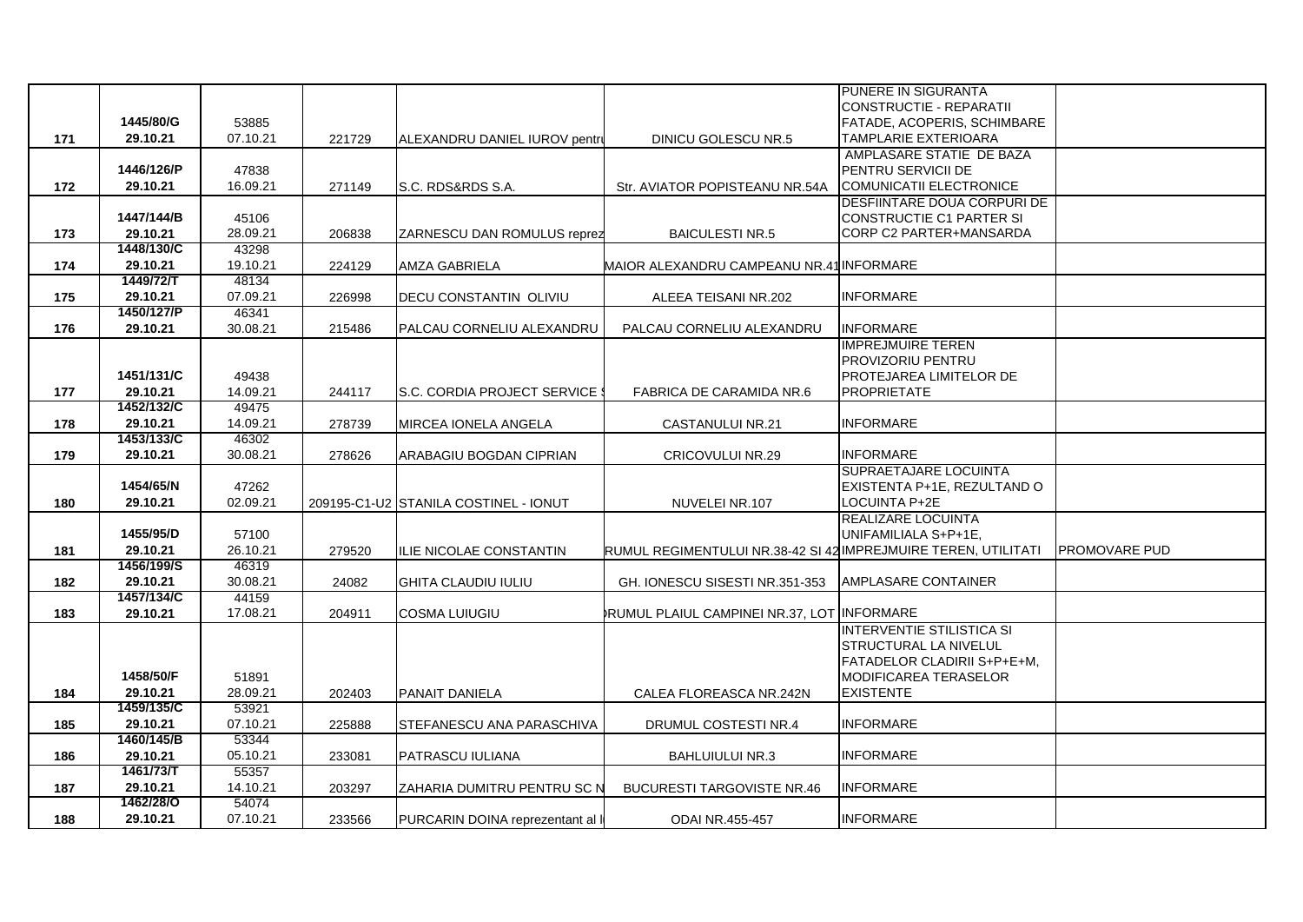|     |                        |                   |        |                                       |                                                                | PUNERE IN SIGURANTA                |                      |
|-----|------------------------|-------------------|--------|---------------------------------------|----------------------------------------------------------------|------------------------------------|----------------------|
|     |                        |                   |        |                                       |                                                                | CONSTRUCTIE - REPARATII            |                      |
|     | 1445/80/G              | 53885             |        |                                       |                                                                | <b>FATADE, ACOPERIS, SCHIMBARE</b> |                      |
| 171 | 29.10.21               | 07.10.21          | 221729 | ALEXANDRU DANIEL IUROV pentru         | DINICU GOLESCU NR.5                                            | <b>TAMPLARIE EXTERIOARA</b>        |                      |
|     |                        |                   |        |                                       |                                                                | AMPLASARE STATIE DE BAZA           |                      |
|     | 1446/126/P             | 47838             |        |                                       |                                                                | PENTRU SERVICII DE                 |                      |
| 172 | 29.10.21               | 16.09.21          | 271149 | S.C. RDS&RDS S.A.                     | Str. AVIATOR POPISTEANU NR.54A                                 | COMUNICATII ELECTRONICE            |                      |
|     |                        |                   |        |                                       |                                                                | DESFIINTARE DOUA CORPURI DE        |                      |
|     | 1447/144/B             | 45106             |        |                                       |                                                                | CONSTRUCTIE C1 PARTER SI           |                      |
| 173 | 29.10.21               | 28.09.21          | 206838 | ZARNESCU DAN ROMULUS reprez           | <b>BAICULESTI NR.5</b>                                         | CORP C2 PARTER+MANSARDA            |                      |
|     | 1448/130/C             | 43298             |        |                                       |                                                                |                                    |                      |
| 174 | 29.10.21               | 19.10.21          | 224129 | AMZA GABRIELA                         | MAIOR ALEXANDRU CAMPEANU NR.41 INFORMARE                       |                                    |                      |
|     | 1449/72/T              | 48134             |        |                                       |                                                                |                                    |                      |
| 175 | 29.10.21               | 07.09.21          | 226998 | DECU CONSTANTIN OLIVIU                | ALEEA TEISANI NR.202                                           | <b>INFORMARE</b>                   |                      |
|     | 1450/127/P             | 46341             |        |                                       |                                                                |                                    |                      |
| 176 | 29.10.21               | 30.08.21          | 215486 | PALCAU CORNELIU ALEXANDRU             | PALCAU CORNELIU ALEXANDRU                                      | <b>INFORMARE</b>                   |                      |
|     |                        |                   |        |                                       |                                                                | <b>IMPREJMUIRE TEREN</b>           |                      |
|     |                        |                   |        |                                       |                                                                | <b>PROVIZORIU PENTRU</b>           |                      |
|     | 1451/131/C             | 49438             |        |                                       |                                                                | PROTEJAREA LIMITELOR DE            |                      |
| 177 | 29.10.21               | 14.09.21          | 244117 | S.C. CORDIA PROJECT SERVICE           | FABRICA DE CARAMIDA NR.6                                       | <b>PROPRIETATE</b>                 |                      |
|     | 1452/132/C             | 49475             |        |                                       |                                                                |                                    |                      |
| 178 | 29.10.21               | 14.09.21          | 278739 | MIRCEA IONELA ANGELA                  | <b>CASTANULUI NR.21</b>                                        | <b>INFORMARE</b>                   |                      |
|     | 1453/133/C             | 46302             |        |                                       |                                                                |                                    |                      |
| 179 | 29.10.21               | 30.08.21          | 278626 | ARABAGIU BOGDAN CIPRIAN               | <b>CRICOVULUI NR.29</b>                                        | <b>INFORMARE</b>                   |                      |
|     |                        |                   |        |                                       |                                                                | SUPRAETAJARE LOCUINTA              |                      |
|     | 1454/65/N              | 47262             |        |                                       |                                                                | EXISTENTA P+1E, REZULTAND O        |                      |
| 180 | 29.10.21               | 02.09.21          |        | 209195-C1-U2 STANILA COSTINEL - IONUT | NUVELEI NR.107                                                 | LOCUINTA P+2E                      |                      |
|     | 1455/95/D              |                   |        |                                       |                                                                | <b>REALIZARE LOCUINTA</b>          |                      |
|     |                        | 57100             |        |                                       |                                                                | UNIFAMILIALA S+P+1E,               |                      |
| 181 | 29.10.21<br>1456/199/S | 26.10.21<br>46319 | 279520 | ILIE NICOLAE CONSTANTIN               | RUMUL REGIMENTULUI NR.38-42 SI 42 IMPREJMUIRE TEREN, UTILITATI |                                    | <b>PROMOVARE PUD</b> |
| 182 | 29.10.21               | 30.08.21          | 24082  | <b>GHITA CLAUDIU IULIU</b>            | GH. IONESCU SISESTI NR.351-353                                 | <b>AMPLASARE CONTAINER</b>         |                      |
|     | 1457/134/C             | 44159             |        |                                       |                                                                |                                    |                      |
| 183 | 29.10.21               | 17.08.21          | 204911 | COSMA LUIUGIU                         | RUMUL PLAIUL CAMPINEI NR.37, LOT INFORMARE                     |                                    |                      |
|     |                        |                   |        |                                       |                                                                | <b>INTERVENTIE STILISTICA SI</b>   |                      |
|     |                        |                   |        |                                       |                                                                | <b>STRUCTURAL LA NIVELUL</b>       |                      |
|     |                        |                   |        |                                       |                                                                | FATADELOR CLADIRII S+P+E+M,        |                      |
|     | 1458/50/F              | 51891             |        |                                       |                                                                | <b>MODIFICAREA TERASELOR</b>       |                      |
| 184 | 29.10.21               | 28.09.21          | 202403 | <b>PANAIT DANIELA</b>                 | CALEA FLOREASCA NR.242N                                        | <b>EXISTENTE</b>                   |                      |
|     | 1459/135/C             | 53921             |        |                                       |                                                                |                                    |                      |
| 185 | 29.10.21               | 07.10.21          | 225888 | STEFANESCU ANA PARASCHIVA             | DRUMUL COSTESTI NR.4                                           | <b>INFORMARE</b>                   |                      |
|     | 1460/145/B             | 53344             |        |                                       |                                                                |                                    |                      |
| 186 | 29.10.21               | 05.10.21          | 233081 | PATRASCU IULIANA                      | <b>BAHLUIULUI NR.3</b>                                         | <b>INFORMARE</b>                   |                      |
|     | 1461/73/T              | 55357             |        |                                       |                                                                |                                    |                      |
| 187 | 29.10.21               | 14.10.21          | 203297 | ZAHARIA DUMITRU PENTRU SC N           | <b>BUCURESTI TARGOVISTE NR.46</b>                              | <b>INFORMARE</b>                   |                      |
|     | 1462/28/0              | 54074             |        |                                       |                                                                |                                    |                      |
| 188 | 29.10.21               | 07.10.21          | 233566 | PURCARIN DOINA reprezentant al        | <b>ODAI NR.455-457</b>                                         | <b>INFORMARE</b>                   |                      |